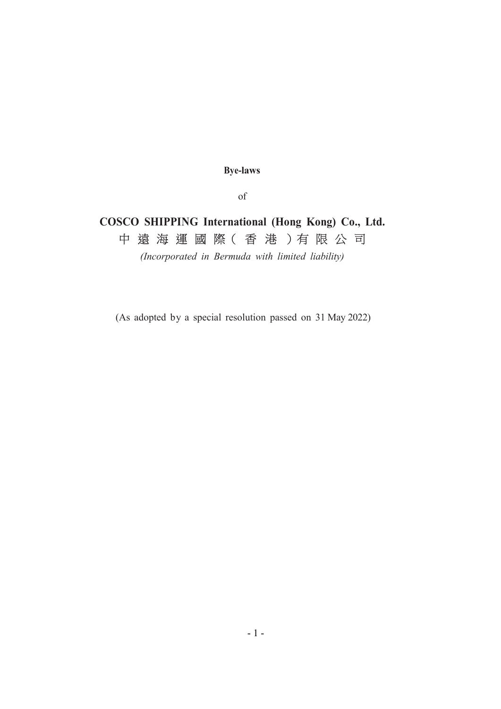Bye-laws

of

# COSCO SHIPPING International (Hong Kong) Co., Ltd. 中 遠 海 運 國 際( 香 港 )有 限 公 司

(Incorporated in Bermuda with limited liability)

(As adopted by a special resolution passed on 31 May 2022)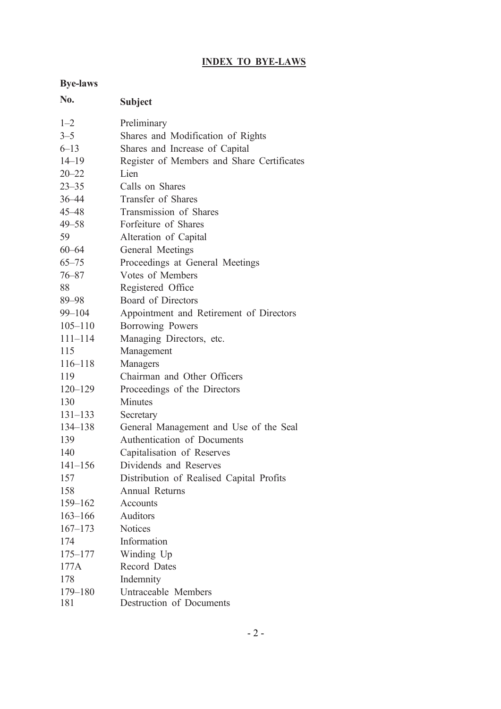## INDEX TO BYE-LAWS

## Bye-laws

| No.         | <b>Subject</b>                             |
|-------------|--------------------------------------------|
| $1 - 2$     | Preliminary                                |
| $3 - 5$     | Shares and Modification of Rights          |
| $6 - 13$    | Shares and Increase of Capital             |
| $14 - 19$   | Register of Members and Share Certificates |
| $20 - 22$   | Lien                                       |
| $23 - 35$   | Calls on Shares                            |
| 36-44       | Transfer of Shares                         |
| 45–48       | Transmission of Shares                     |
| $49 - 58$   | Forfeiture of Shares                       |
| 59          | Alteration of Capital                      |
| $60 - 64$   | General Meetings                           |
| $65 - 75$   | Proceedings at General Meetings            |
| $76 - 87$   | Votes of Members                           |
| 88          | Registered Office                          |
| 89-98       | <b>Board of Directors</b>                  |
| 99-104      | Appointment and Retirement of Directors    |
| $105 - 110$ | Borrowing Powers                           |
| $111 - 114$ | Managing Directors, etc.                   |
| 115         | Management                                 |
| $116 - 118$ | Managers                                   |
| 119         | Chairman and Other Officers                |
| $120 - 129$ | Proceedings of the Directors               |
| 130         | <b>Minutes</b>                             |
| $131 - 133$ | Secretary                                  |
| 134–138     | General Management and Use of the Seal     |
| 139         | Authentication of Documents                |
| 140         | Capitalisation of Reserves                 |
| $141 - 156$ | Dividends and Reserves                     |
| 157         | Distribution of Realised Capital Profits   |
| 158         | Annual Returns                             |
| $159 - 162$ | Accounts                                   |
| $163 - 166$ | <b>Auditors</b>                            |
| $167 - 173$ | <b>Notices</b>                             |
| 174         | Information                                |
| $175 - 177$ | Winding Up                                 |
| 177A        | <b>Record Dates</b>                        |
| 178         | Indemnity                                  |
| 179-180     | Untraceable Members                        |
| 181         | Destruction of Documents                   |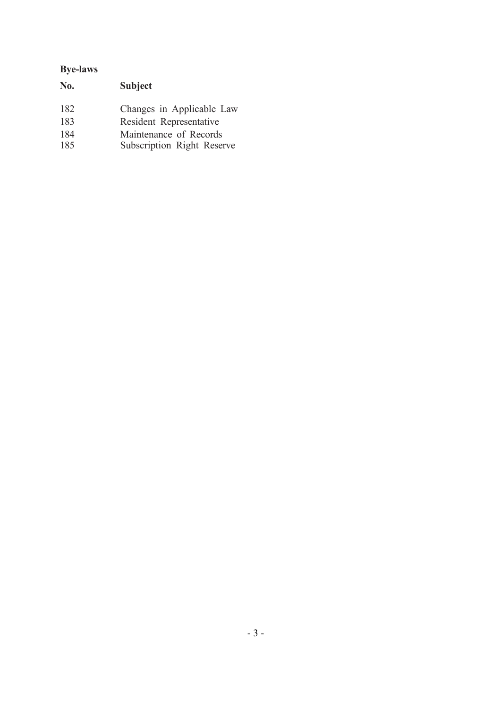## Bye-laws

| No.               | <b>Subject</b>                                                                 |
|-------------------|--------------------------------------------------------------------------------|
| 182<br>183<br>184 | Changes in Applicable Law<br>Resident Representative<br>Maintenance of Records |
| 185               | Subscription Right Reserve                                                     |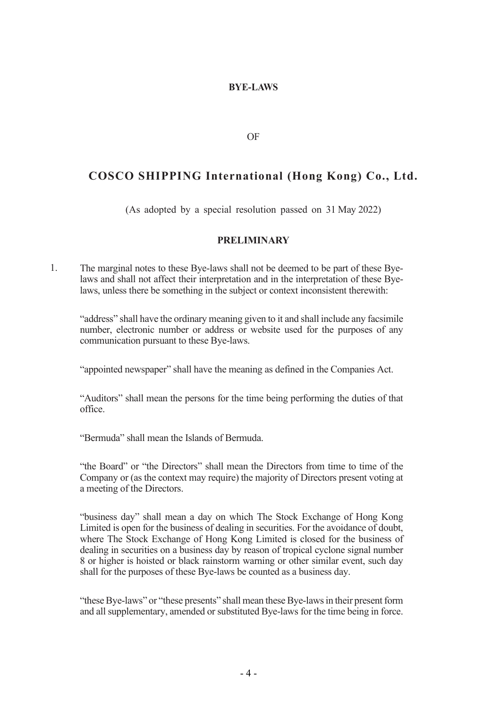## BYE-LAWS

OF

## COSCO SHIPPING International (Hong Kong) Co., Ltd.

(As adopted by a special resolution passed on 31 May 2022)

## PRELIMINARY

1. The marginal notes to these Bye-laws shall not be deemed to be part of these Byelaws and shall not affect their interpretation and in the interpretation of these Byelaws, unless there be something in the subject or context inconsistent therewith:

"address" shall have the ordinary meaning given to it and shall include any facsimile number, electronic number or address or website used for the purposes of any communication pursuant to these Bye-laws.

"appointed newspaper" shall have the meaning as defined in the Companies Act.

"Auditors" shall mean the persons for the time being performing the duties of that office.

"Bermuda" shall mean the Islands of Bermuda.

"the Board" or "the Directors" shall mean the Directors from time to time of the Company or (as the context may require) the majority of Directors present voting at a meeting of the Directors.

"business day" shall mean a day on which The Stock Exchange of Hong Kong Limited is open for the business of dealing in securities. For the avoidance of doubt, where The Stock Exchange of Hong Kong Limited is closed for the business of dealing in securities on a business day by reason of tropical cyclone signal number 8 or higher is hoisted or black rainstorm warning or other similar event, such day shall for the purposes of these Bye-laws be counted as a business day.

"these Bye-laws" or "these presents" shall mean these Bye-laws in their present form and all supplementary, amended or substituted Bye-laws for the time being in force.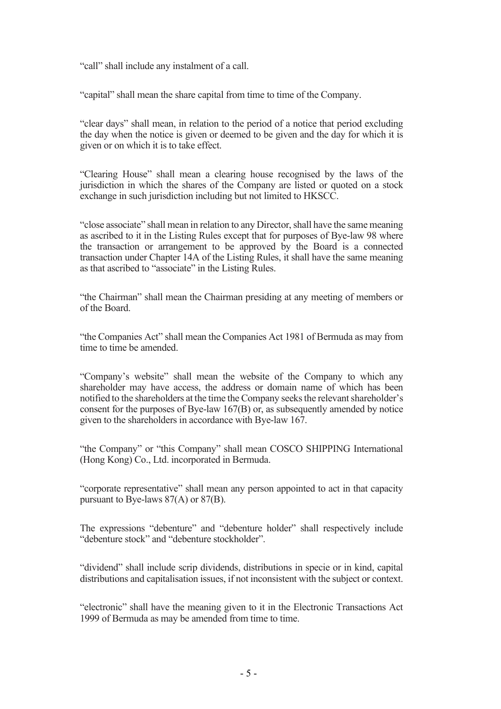"call" shall include any instalment of a call.

"capital" shall mean the share capital from time to time of the Company.

"clear days" shall mean, in relation to the period of a notice that period excluding the day when the notice is given or deemed to be given and the day for which it is given or on which it is to take effect.

"Clearing House" shall mean a clearing house recognised by the laws of the jurisdiction in which the shares of the Company are listed or quoted on a stock exchange in such jurisdiction including but not limited to HKSCC.

"close associate" shall mean in relation to any Director, shall have the same meaning as ascribed to it in the Listing Rules except that for purposes of Bye-law 98 where the transaction or arrangement to be approved by the Board is a connected transaction under Chapter 14A of the Listing Rules, it shall have the same meaning as that ascribed to "associate" in the Listing Rules.

"the Chairman" shall mean the Chairman presiding at any meeting of members or of the Board.

"the Companies Act" shall mean the Companies Act 1981 of Bermuda as may from time to time be amended.

"Company's website" shall mean the website of the Company to which any shareholder may have access, the address or domain name of which has been notified to the shareholders at the time the Company seeks the relevant shareholder's consent for the purposes of Bye-law 167(B) or, as subsequently amended by notice given to the shareholders in accordance with Bye-law 167.

"the Company" or "this Company" shall mean COSCO SHIPPING International (Hong Kong) Co., Ltd. incorporated in Bermuda.

"corporate representative" shall mean any person appointed to act in that capacity pursuant to Bye-laws 87(A) or 87(B).

The expressions "debenture" and "debenture holder" shall respectively include "debenture stock" and "debenture stockholder".

"dividend" shall include scrip dividends, distributions in specie or in kind, capital distributions and capitalisation issues, if not inconsistent with the subject or context.

"electronic" shall have the meaning given to it in the Electronic Transactions Act 1999 of Bermuda as may be amended from time to time.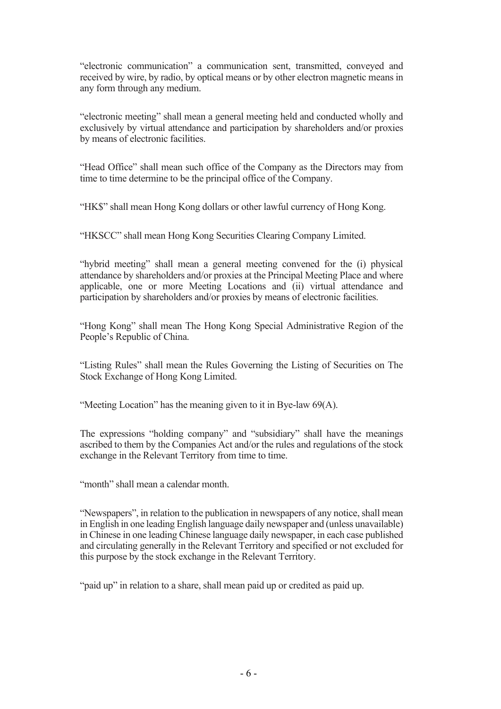"electronic communication" a communication sent, transmitted, conveyed and received by wire, by radio, by optical means or by other electron magnetic means in any form through any medium.

"electronic meeting" shall mean a general meeting held and conducted wholly and exclusively by virtual attendance and participation by shareholders and/or proxies by means of electronic facilities.

"Head Office" shall mean such office of the Company as the Directors may from time to time determine to be the principal office of the Company.

"HK\$" shall mean Hong Kong dollars or other lawful currency of Hong Kong.

"HKSCC" shall mean Hong Kong Securities Clearing Company Limited.

"hybrid meeting" shall mean a general meeting convened for the (i) physical attendance by shareholders and/or proxies at the Principal Meeting Place and where applicable, one or more Meeting Locations and (ii) virtual attendance and participation by shareholders and/or proxies by means of electronic facilities.

"Hong Kong" shall mean The Hong Kong Special Administrative Region of the People's Republic of China.

"Listing Rules" shall mean the Rules Governing the Listing of Securities on The Stock Exchange of Hong Kong Limited.

"Meeting Location" has the meaning given to it in Bye-law 69(A).

The expressions "holding company" and "subsidiary" shall have the meanings ascribed to them by the Companies Act and/or the rules and regulations of the stock exchange in the Relevant Territory from time to time.

"month" shall mean a calendar month.

"Newspapers", in relation to the publication in newspapers of any notice, shall mean in English in one leading English language daily newspaper and (unless unavailable) in Chinese in one leading Chinese language daily newspaper, in each case published and circulating generally in the Relevant Territory and specified or not excluded for this purpose by the stock exchange in the Relevant Territory.

"paid up" in relation to a share, shall mean paid up or credited as paid up.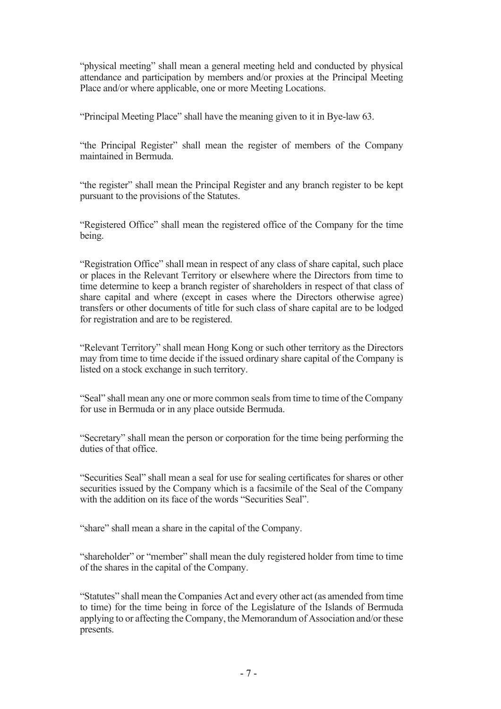"physical meeting" shall mean a general meeting held and conducted by physical attendance and participation by members and/or proxies at the Principal Meeting Place and/or where applicable, one or more Meeting Locations.

"Principal Meeting Place" shall have the meaning given to it in Bye-law 63.

"the Principal Register" shall mean the register of members of the Company maintained in Bermuda.

"the register" shall mean the Principal Register and any branch register to be kept pursuant to the provisions of the Statutes.

"Registered Office" shall mean the registered office of the Company for the time being.

"Registration Office" shall mean in respect of any class of share capital, such place or places in the Relevant Territory or elsewhere where the Directors from time to time determine to keep a branch register of shareholders in respect of that class of share capital and where (except in cases where the Directors otherwise agree) transfers or other documents of title for such class of share capital are to be lodged for registration and are to be registered.

"Relevant Territory" shall mean Hong Kong or such other territory as the Directors may from time to time decide if the issued ordinary share capital of the Company is listed on a stock exchange in such territory.

"Seal" shall mean any one or more common seals from time to time of the Company for use in Bermuda or in any place outside Bermuda.

"Secretary" shall mean the person or corporation for the time being performing the duties of that office.

"Securities Seal" shall mean a seal for use for sealing certificates for shares or other securities issued by the Company which is a facsimile of the Seal of the Company with the addition on its face of the words "Securities Seal".

"share" shall mean a share in the capital of the Company.

"shareholder" or "member" shall mean the duly registered holder from time to time of the shares in the capital of the Company.

"Statutes" shall mean the Companies Act and every other act (as amended from time to time) for the time being in force of the Legislature of the Islands of Bermuda applying to or affecting the Company, the Memorandum of Association and/or these presents.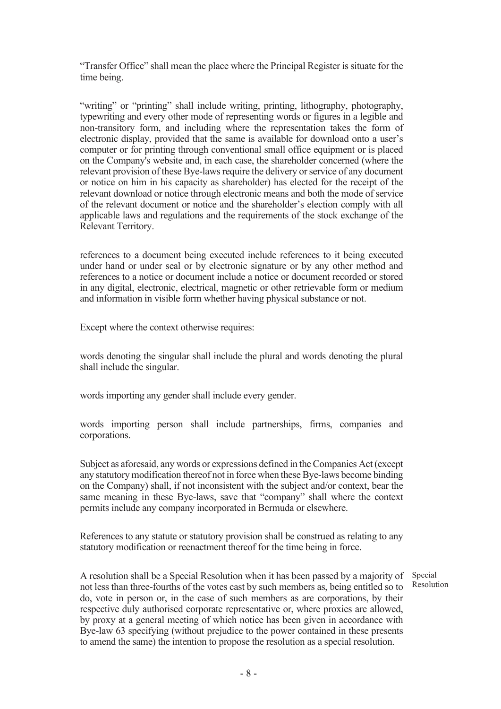"Transfer Office" shall mean the place where the Principal Register is situate for the time being.

"writing" or "printing" shall include writing, printing, lithography, photography, typewriting and every other mode of representing words or figures in a legible and non-transitory form, and including where the representation takes the form of electronic display, provided that the same is available for download onto a user's computer or for printing through conventional small office equipment or is placed on the Company's website and, in each case, the shareholder concerned (where the relevant provision of these Bye-laws require the delivery or service of any document or notice on him in his capacity as shareholder) has elected for the receipt of the relevant download or notice through electronic means and both the mode of service of the relevant document or notice and the shareholder's election comply with all applicable laws and regulations and the requirements of the stock exchange of the Relevant Territory.

references to a document being executed include references to it being executed under hand or under seal or by electronic signature or by any other method and references to a notice or document include a notice or document recorded or stored in any digital, electronic, electrical, magnetic or other retrievable form or medium and information in visible form whether having physical substance or not.

Except where the context otherwise requires:

words denoting the singular shall include the plural and words denoting the plural shall include the singular.

words importing any gender shall include every gender.

words importing person shall include partnerships, firms, companies and corporations.

Subject as aforesaid, any words or expressions defined in the Companies Act (except any statutory modification thereof not in force when these Bye-laws become binding on the Company) shall, if not inconsistent with the subject and/or context, bear the same meaning in these Bye-laws, save that "company" shall where the context permits include any company incorporated in Bermuda or elsewhere.

References to any statute or statutory provision shall be construed as relating to any statutory modification or reenactment thereof for the time being in force.

A resolution shall be a Special Resolution when it has been passed by a majority of not less than three-fourths of the votes cast by such members as, being entitled so to do, vote in person or, in the case of such members as are corporations, by their respective duly authorised corporate representative or, where proxies are allowed, by proxy at a general meeting of which notice has been given in accordance with Bye-law 63 specifying (without prejudice to the power contained in these presents to amend the same) the intention to propose the resolution as a special resolution.

Special Resolution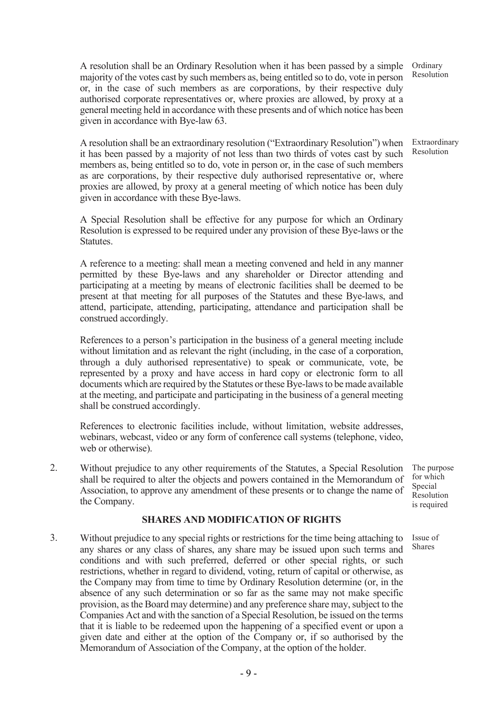A resolution shall be an Ordinary Resolution when it has been passed by a simple majority of the votes cast by such members as, being entitled so to do, vote in person or, in the case of such members as are corporations, by their respective duly authorised corporate representatives or, where proxies are allowed, by proxy at a general meeting held in accordance with these presents and of which notice has been given in accordance with Bye-law 63.

A resolution shall be an extraordinary resolution ("Extraordinary Resolution") when it has been passed by a majority of not less than two thirds of votes cast by such members as, being entitled so to do, vote in person or, in the case of such members as are corporations, by their respective duly authorised representative or, where proxies are allowed, by proxy at a general meeting of which notice has been duly given in accordance with these Bye-laws.

A Special Resolution shall be effective for any purpose for which an Ordinary Resolution is expressed to be required under any provision of these Bye-laws or the Statutes.

A reference to a meeting: shall mean a meeting convened and held in any manner permitted by these Bye-laws and any shareholder or Director attending and participating at a meeting by means of electronic facilities shall be deemed to be present at that meeting for all purposes of the Statutes and these Bye-laws, and attend, participate, attending, participating, attendance and participation shall be construed accordingly.

References to a person's participation in the business of a general meeting include without limitation and as relevant the right (including, in the case of a corporation, through a duly authorised representative) to speak or communicate, vote, be represented by a proxy and have access in hard copy or electronic form to all documents which are required by the Statutes or these Bye-laws to be made available at the meeting, and participate and participating in the business of a general meeting shall be construed accordingly.

References to electronic facilities include, without limitation, website addresses, webinars, webcast, video or any form of conference call systems (telephone, video, web or otherwise).

2. Without prejudice to any other requirements of the Statutes, a Special Resolution shall be required to alter the objects and powers contained in the Memorandum of Association, to approve any amendment of these presents or to change the name of the Company.

#### SHARES AND MODIFICATION OF RIGHTS

3. Without prejudice to any special rights or restrictions for the time being attaching to any shares or any class of shares, any share may be issued upon such terms and conditions and with such preferred, deferred or other special rights, or such restrictions, whether in regard to dividend, voting, return of capital or otherwise, as the Company may from time to time by Ordinary Resolution determine (or, in the absence of any such determination or so far as the same may not make specific provision, as the Board may determine) and any preference share may, subject to the Companies Act and with the sanction of a Special Resolution, be issued on the terms that it is liable to be redeemed upon the happening of a specified event or upon a given date and either at the option of the Company or, if so authorised by the Memorandum of Association of the Company, at the option of the holder.

**Ordinary** Resolution

Extraordinary Resolution

The purpose for which Special Resolution is required

Issue of Shares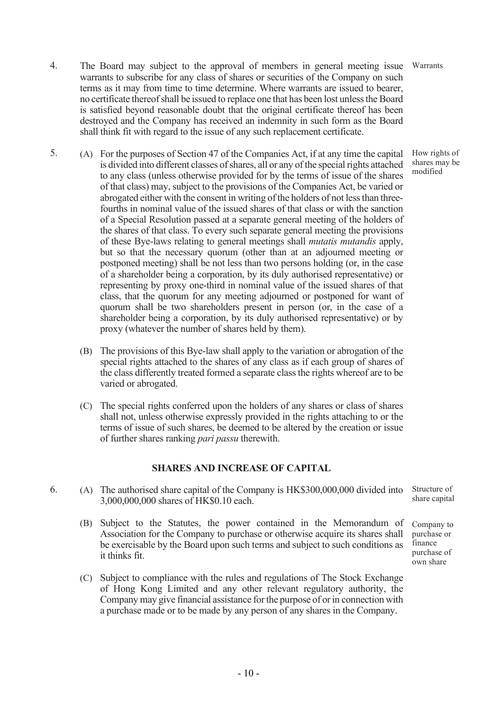- 5. (A) For the purposes of Section 47 of the Companies Act, if at any time the capital is divided into different classes of shares, all or any of the special rights attached to any class (unless otherwise provided for by the terms of issue of the shares of that class) may, subject to the provisions of the Companies Act, be varied or abrogated either with the consent in writing of the holders of not less than threefourths in nominal value of the issued shares of that class or with the sanction of a Special Resolution passed at a separate general meeting of the holders of the shares of that class. To every such separate general meeting the provisions of these Bye-laws relating to general meetings shall mutatis mutandis apply, but so that the necessary quorum (other than at an adjourned meeting or postponed meeting) shall be not less than two persons holding (or, in the case of a shareholder being a corporation, by its duly authorised representative) or representing by proxy one-third in nominal value of the issued shares of that class, that the quorum for any meeting adjourned or postponed for want of quorum shall be two shareholders present in person (or, in the case of a shareholder being a corporation, by its duly authorised representative) or by proxy (whatever the number of shares held by them).
	- (B) The provisions of this Bye-law shall apply to the variation or abrogation of the special rights attached to the shares of any class as if each group of shares of the class differently treated formed a separate class the rights whereof are to be varied or abrogated.
	- (C) The special rights conferred upon the holders of any shares or class of shares shall not, unless otherwise expressly provided in the rights attaching to or the terms of issue of such shares, be deemed to be altered by the creation or issue of further shares ranking pari passu therewith.

## SHARES AND INCREASE OF CAPITAL

- 6. (A) The authorised share capital of the Company is HK\$300,000,000 divided into 3,000,000,000 shares of HK\$0.10 each.
	- (B) Subject to the Statutes, the power contained in the Memorandum of Association for the Company to purchase or otherwise acquire its shares shall be exercisable by the Board upon such terms and subject to such conditions as it thinks fit.
	- (C) Subject to compliance with the rules and regulations of The Stock Exchange of Hong Kong Limited and any other relevant regulatory authority, the Company may give financial assistance for the purpose of or in connection with a purchase made or to be made by any person of any shares in the Company.

Structure of share capital

Company to purchase or finance purchase of own share

Warrants

How rights of shares may be modified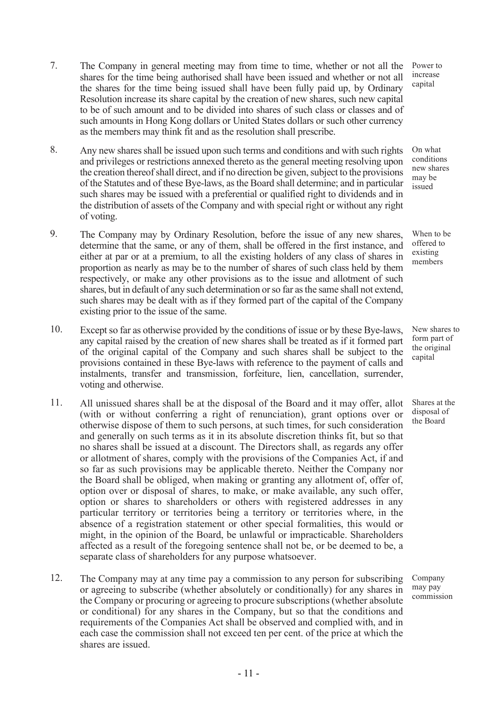- 7. The Company in general meeting may from time to time, whether or not all the shares for the time being authorised shall have been issued and whether or not all the shares for the time being issued shall have been fully paid up, by Ordinary Resolution increase its share capital by the creation of new shares, such new capital to be of such amount and to be divided into shares of such class or classes and of such amounts in Hong Kong dollars or United States dollars or such other currency as the members may think fit and as the resolution shall prescribe.
- 8. Any new shares shall be issued upon such terms and conditions and with such rights and privileges or restrictions annexed thereto as the general meeting resolving upon the creation thereof shall direct, and if no direction be given, subject to the provisions of the Statutes and of these Bye-laws, as the Board shall determine; and in particular such shares may be issued with a preferential or qualified right to dividends and in the distribution of assets of the Company and with special right or without any right of voting.
- 9. The Company may by Ordinary Resolution, before the issue of any new shares, determine that the same, or any of them, shall be offered in the first instance, and either at par or at a premium, to all the existing holders of any class of shares in proportion as nearly as may be to the number of shares of such class held by them respectively, or make any other provisions as to the issue and allotment of such shares, but in default of any such determination or so far as the same shall not extend, such shares may be dealt with as if they formed part of the capital of the Company existing prior to the issue of the same.
- 10. Except so far as otherwise provided by the conditions of issue or by these Bye-laws, any capital raised by the creation of new shares shall be treated as if it formed part of the original capital of the Company and such shares shall be subject to the provisions contained in these Bye-laws with reference to the payment of calls and instalments, transfer and transmission, forfeiture, lien, cancellation, surrender, voting and otherwise.
- 11. All unissued shares shall be at the disposal of the Board and it may offer, allot (with or without conferring a right of renunciation), grant options over or otherwise dispose of them to such persons, at such times, for such consideration and generally on such terms as it in its absolute discretion thinks fit, but so that no shares shall be issued at a discount. The Directors shall, as regards any offer or allotment of shares, comply with the provisions of the Companies Act, if and so far as such provisions may be applicable thereto. Neither the Company nor the Board shall be obliged, when making or granting any allotment of, offer of, option over or disposal of shares, to make, or make available, any such offer, option or shares to shareholders or others with registered addresses in any particular territory or territories being a territory or territories where, in the absence of a registration statement or other special formalities, this would or might, in the opinion of the Board, be unlawful or impracticable. Shareholders affected as a result of the foregoing sentence shall not be, or be deemed to be, a separate class of shareholders for any purpose whatsoever.
- 12. The Company may at any time pay a commission to any person for subscribing or agreeing to subscribe (whether absolutely or conditionally) for any shares in the Company or procuring or agreeing to procure subscriptions (whether absolute or conditional) for any shares in the Company, but so that the conditions and requirements of the Companies Act shall be observed and complied with, and in each case the commission shall not exceed ten per cent. of the price at which the shares are issued.

Power to increase capital

On what conditions new shares may be issued

When to be offered to existing members

New shares to form part of the original capital

Shares at the disposal of the Board

Company may pay commission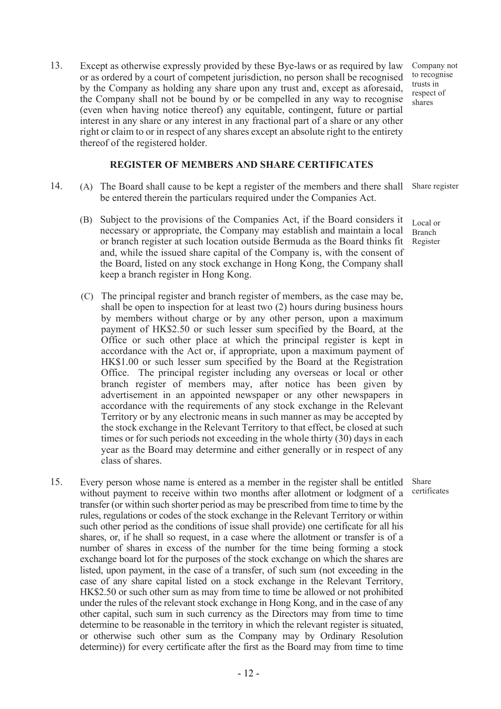13. Except as otherwise expressly provided by these Bye-laws or as required by law or as ordered by a court of competent jurisdiction, no person shall be recognised by the Company as holding any share upon any trust and, except as aforesaid, the Company shall not be bound by or be compelled in any way to recognise (even when having notice thereof) any equitable, contingent, future or partial interest in any share or any interest in any fractional part of a share or any other right or claim to or in respect of any shares except an absolute right to the entirety thereof of the registered holder.

#### REGISTER OF MEMBERS AND SHARE CERTIFICATES

- 14. (A) The Board shall cause to be kept a register of the members and there shall be entered therein the particulars required under the Companies Act.
	- (B) Subject to the provisions of the Companies Act, if the Board considers it necessary or appropriate, the Company may establish and maintain a local or branch register at such location outside Bermuda as the Board thinks fit and, while the issued share capital of the Company is, with the consent of the Board, listed on any stock exchange in Hong Kong, the Company shall keep a branch register in Hong Kong.
	- (C) The principal register and branch register of members, as the case may be, shall be open to inspection for at least two (2) hours during business hours by members without charge or by any other person, upon a maximum payment of HK\$2.50 or such lesser sum specified by the Board, at the Office or such other place at which the principal register is kept in accordance with the Act or, if appropriate, upon a maximum payment of HK\$1.00 or such lesser sum specified by the Board at the Registration Office. The principal register including any overseas or local or other branch register of members may, after notice has been given by advertisement in an appointed newspaper or any other newspapers in accordance with the requirements of any stock exchange in the Relevant Territory or by any electronic means in such manner as may be accepted by the stock exchange in the Relevant Territory to that effect, be closed at such times or for such periods not exceeding in the whole thirty (30) days in each year as the Board may determine and either generally or in respect of any class of shares.
- 15. Every person whose name is entered as a member in the register shall be entitled without payment to receive within two months after allotment or lodgment of a transfer (or within such shorter period as may be prescribed from time to time by the rules, regulations or codes of the stock exchange in the Relevant Territory or within such other period as the conditions of issue shall provide) one certificate for all his shares, or, if he shall so request, in a case where the allotment or transfer is of a number of shares in excess of the number for the time being forming a stock exchange board lot for the purposes of the stock exchange on which the shares are listed, upon payment, in the case of a transfer, of such sum (not exceeding in the case of any share capital listed on a stock exchange in the Relevant Territory, HK\$2.50 or such other sum as may from time to time be allowed or not prohibited under the rules of the relevant stock exchange in Hong Kong, and in the case of any other capital, such sum in such currency as the Directors may from time to time determine to be reasonable in the territory in which the relevant register is situated, or otherwise such other sum as the Company may by Ordinary Resolution determine)) for every certificate after the first as the Board may from time to time

Company not to recognise trusts in respect of shares

Share register

Local or Branch Register

Share certificates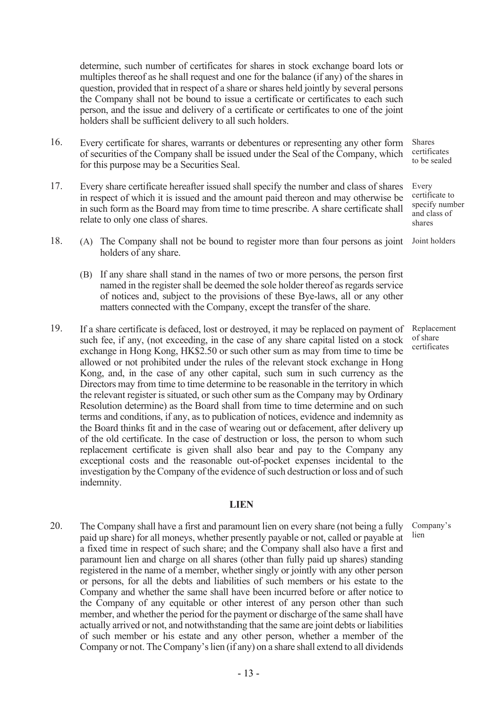determine, such number of certificates for shares in stock exchange board lots or multiples thereof as he shall request and one for the balance (if any) of the shares in question, provided that in respect of a share or shares held jointly by several persons the Company shall not be bound to issue a certificate or certificates to each such person, and the issue and delivery of a certificate or certificates to one of the joint holders shall be sufficient delivery to all such holders.

- 16. Every certificate for shares, warrants or debentures or representing any other form of securities of the Company shall be issued under the Seal of the Company, which for this purpose may be a Securities Seal.
- 17. Every share certificate hereafter issued shall specify the number and class of shares in respect of which it is issued and the amount paid thereon and may otherwise be in such form as the Board may from time to time prescribe. A share certificate shall relate to only one class of shares.
- 18. (A) The Company shall not be bound to register more than four persons as joint holders of any share.
	- (B) If any share shall stand in the names of two or more persons, the person first named in the register shall be deemed the sole holder thereof as regards service of notices and, subject to the provisions of these Bye-laws, all or any other matters connected with the Company, except the transfer of the share.
- 19. If a share certificate is defaced, lost or destroyed, it may be replaced on payment of such fee, if any, (not exceeding, in the case of any share capital listed on a stock exchange in Hong Kong, HK\$2.50 or such other sum as may from time to time be allowed or not prohibited under the rules of the relevant stock exchange in Hong Kong, and, in the case of any other capital, such sum in such currency as the Directors may from time to time determine to be reasonable in the territory in which the relevant register is situated, or such other sum as the Company may by Ordinary Resolution determine) as the Board shall from time to time determine and on such terms and conditions, if any, as to publication of notices, evidence and indemnity as the Board thinks fit and in the case of wearing out or defacement, after delivery up of the old certificate. In the case of destruction or loss, the person to whom such replacement certificate is given shall also bear and pay to the Company any exceptional costs and the reasonable out-of-pocket expenses incidental to the investigation by the Company of the evidence of such destruction or loss and of such indemnity.

#### **LIEN**

20. The Company shall have a first and paramount lien on every share (not being a fully paid up share) for all moneys, whether presently payable or not, called or payable at a fixed time in respect of such share; and the Company shall also have a first and paramount lien and charge on all shares (other than fully paid up shares) standing registered in the name of a member, whether singly or jointly with any other person or persons, for all the debts and liabilities of such members or his estate to the Company and whether the same shall have been incurred before or after notice to the Company of any equitable or other interest of any person other than such member, and whether the period for the payment or discharge of the same shall have actually arrived or not, and notwithstanding that the same are joint debts or liabilities of such member or his estate and any other person, whether a member of the Company or not. The Company's lien (if any) on a share shall extend to all dividends

- 13 -

Shares certificates to be sealed

Every certificate to specify number and class of shares

Joint holders

Replacement of share certificates

Company's lien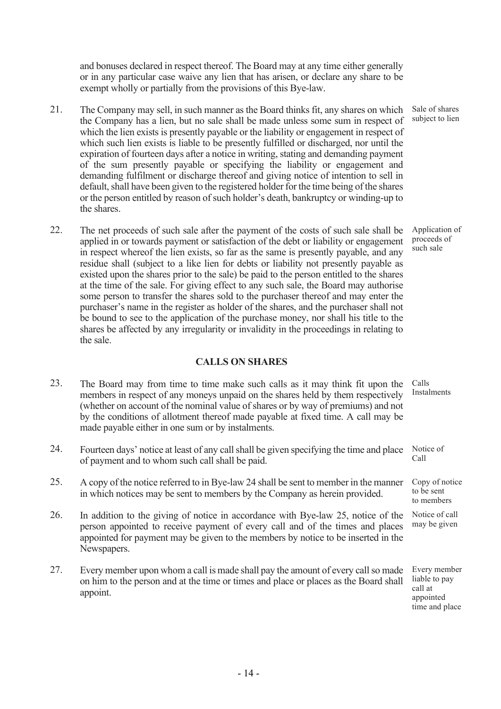and bonuses declared in respect thereof. The Board may at any time either generally or in any particular case waive any lien that has arisen, or declare any share to be exempt wholly or partially from the provisions of this Bye-law.

- 21. The Company may sell, in such manner as the Board thinks fit, any shares on which the Company has a lien, but no sale shall be made unless some sum in respect of which the lien exists is presently payable or the liability or engagement in respect of which such lien exists is liable to be presently fulfilled or discharged, nor until the expiration of fourteen days after a notice in writing, stating and demanding payment of the sum presently payable or specifying the liability or engagement and demanding fulfilment or discharge thereof and giving notice of intention to sell in default, shall have been given to the registered holder for the time being of the shares or the person entitled by reason of such holder's death, bankruptcy or winding-up to the shares.
- 22. The net proceeds of such sale after the payment of the costs of such sale shall be applied in or towards payment or satisfaction of the debt or liability or engagement in respect whereof the lien exists, so far as the same is presently payable, and any residue shall (subject to a like lien for debts or liability not presently payable as existed upon the shares prior to the sale) be paid to the person entitled to the shares at the time of the sale. For giving effect to any such sale, the Board may authorise some person to transfer the shares sold to the purchaser thereof and may enter the purchaser's name in the register as holder of the shares, and the purchaser shall not be bound to see to the application of the purchase money, nor shall his title to the shares be affected by any irregularity or invalidity in the proceedings in relating to the sale.

## CALLS ON SHARES

- 23. The Board may from time to time make such calls as it may think fit upon the members in respect of any moneys unpaid on the shares held by them respectively (whether on account of the nominal value of shares or by way of premiums) and not by the conditions of allotment thereof made payable at fixed time. A call may be made payable either in one sum or by instalments. Calls Instalments
- 24. Fourteen days' notice at least of any call shall be given specifying the time and place of payment and to whom such call shall be paid. Notice of Call
- 25. A copy of the notice referred to in Bye-law 24 shall be sent to member in the manner in which notices may be sent to members by the Company as herein provided.
- 26. In addition to the giving of notice in accordance with Bye-law 25, notice of the person appointed to receive payment of every call and of the times and places appointed for payment may be given to the members by notice to be inserted in the Newspapers.
- 27. Every member upon whom a call is made shall pay the amount of every call so made on him to the person and at the time or times and place or places as the Board shall appoint.

Copy of notice to be sent to members

Notice of call may be given

Every member liable to pay call at appointed time and place

Sale of shares subject to lien

Application of proceeds of such sale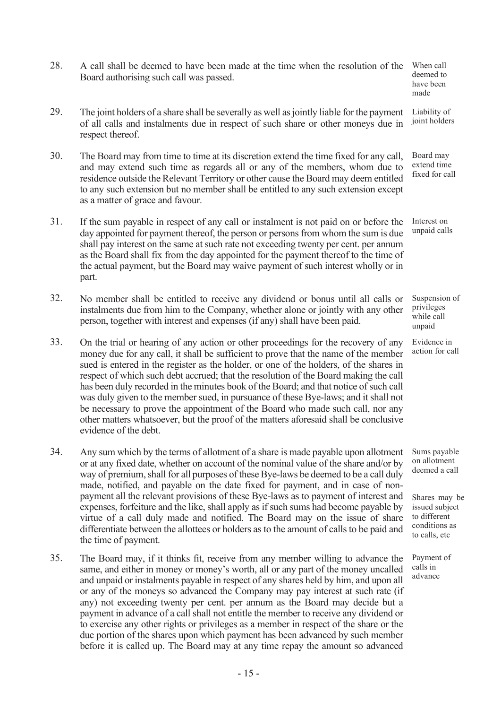- 28. A call shall be deemed to have been made at the time when the resolution of the Board authorising such call was passed. When call deemed to have been
- 29. The joint holders of a share shall be severally as well as jointly liable for the payment of all calls and instalments due in respect of such share or other moneys due in respect thereof. Liability of joint holders

made

Evidence in

to different

to calls, etc

Payment of calls in advance

- 30. The Board may from time to time at its discretion extend the time fixed for any call, and may extend such time as regards all or any of the members, whom due to residence outside the Relevant Territory or other cause the Board may deem entitled to any such extension but no member shall be entitled to any such extension except as a matter of grace and favour. Board may extend time fixed for call
- 31. If the sum payable in respect of any call or instalment is not paid on or before the day appointed for payment thereof, the person or persons from whom the sum is due shall pay interest on the same at such rate not exceeding twenty per cent. per annum as the Board shall fix from the day appointed for the payment thereof to the time of the actual payment, but the Board may waive payment of such interest wholly or in part. Interest on unpaid calls
- 32. No member shall be entitled to receive any dividend or bonus until all calls or instalments due from him to the Company, whether alone or jointly with any other person, together with interest and expenses (if any) shall have been paid. Suspension of privileges while call unpaid
- 33. On the trial or hearing of any action or other proceedings for the recovery of any money due for any call, it shall be sufficient to prove that the name of the member sued is entered in the register as the holder, or one of the holders, of the shares in respect of which such debt accrued; that the resolution of the Board making the call has been duly recorded in the minutes book of the Board; and that notice of such call was duly given to the member sued, in pursuance of these Bye-laws; and it shall not be necessary to prove the appointment of the Board who made such call, nor any other matters whatsoever, but the proof of the matters aforesaid shall be conclusive evidence of the debt. action for call
- 34. Any sum which by the terms of allotment of a share is made payable upon allotment or at any fixed date, whether on account of the nominal value of the share and/or by way of premium, shall for all purposes of these Bye-laws be deemed to be a call duly made, notified, and payable on the date fixed for payment, and in case of nonpayment all the relevant provisions of these Bye-laws as to payment of interest and expenses, forfeiture and the like, shall apply as if such sums had become payable by virtue of a call duly made and notified. The Board may on the issue of share differentiate between the allottees or holders as to the amount of calls to be paid and the time of payment. Sums payable on allotment deemed a call Shares may be issued subject conditions as
- 35. The Board may, if it thinks fit, receive from any member willing to advance the same, and either in money or money's worth, all or any part of the money uncalled and unpaid or instalments payable in respect of any shares held by him, and upon all or any of the moneys so advanced the Company may pay interest at such rate (if any) not exceeding twenty per cent. per annum as the Board may decide but a payment in advance of a call shall not entitle the member to receive any dividend or to exercise any other rights or privileges as a member in respect of the share or the due portion of the shares upon which payment has been advanced by such member before it is called up. The Board may at any time repay the amount so advanced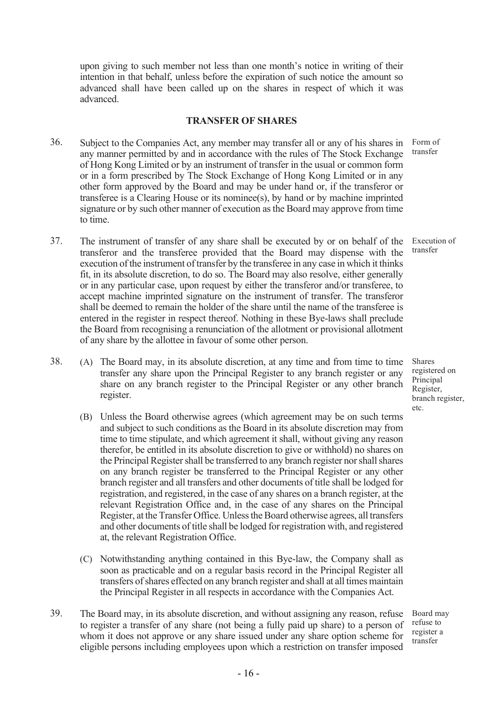upon giving to such member not less than one month's notice in writing of their intention in that behalf, unless before the expiration of such notice the amount so advanced shall have been called up on the shares in respect of which it was advanced.

#### TRANSFER OF SHARES

- 36. Subject to the Companies Act, any member may transfer all or any of his shares in any manner permitted by and in accordance with the rules of The Stock Exchange of Hong Kong Limited or by an instrument of transfer in the usual or common form or in a form prescribed by The Stock Exchange of Hong Kong Limited or in any other form approved by the Board and may be under hand or, if the transferor or transferee is a Clearing House or its nominee(s), by hand or by machine imprinted signature or by such other manner of execution as the Board may approve from time to time. Form of
- 37. The instrument of transfer of any share shall be executed by or on behalf of the transferor and the transferee provided that the Board may dispense with the execution of the instrument of transfer by the transferee in any case in which it thinks fit, in its absolute discretion, to do so. The Board may also resolve, either generally or in any particular case, upon request by either the transferor and/or transferee, to accept machine imprinted signature on the instrument of transfer. The transferor shall be deemed to remain the holder of the share until the name of the transferee is entered in the register in respect thereof. Nothing in these Bye-laws shall preclude the Board from recognising a renunciation of the allotment or provisional allotment of any share by the allottee in favour of some other person.
- 38. (A) The Board may, in its absolute discretion, at any time and from time to time transfer any share upon the Principal Register to any branch register or any share on any branch register to the Principal Register or any other branch register.
	- (B) Unless the Board otherwise agrees (which agreement may be on such terms and subject to such conditions as the Board in its absolute discretion may from time to time stipulate, and which agreement it shall, without giving any reason therefor, be entitled in its absolute discretion to give or withhold) no shares on the Principal Register shall be transferred to any branch register nor shall shares on any branch register be transferred to the Principal Register or any other branch register and all transfers and other documents of title shall be lodged for registration, and registered, in the case of any shares on a branch register, at the relevant Registration Office and, in the case of any shares on the Principal Register, at the Transfer Office. Unless the Board otherwise agrees, all transfers and other documents of title shall be lodged for registration with, and registered at, the relevant Registration Office.
	- (C) Notwithstanding anything contained in this Bye-law, the Company shall as soon as practicable and on a regular basis record in the Principal Register all transfers of shares effected on any branch register and shall at all times maintain the Principal Register in all respects in accordance with the Companies Act.
- 39. The Board may, in its absolute discretion, and without assigning any reason, refuse to register a transfer of any share (not being a fully paid up share) to a person of whom it does not approve or any share issued under any share option scheme for eligible persons including employees upon which a restriction on transfer imposed Board may refuse to register a transfer

transfer

Execution of transfer

Shares registered on Principal Register, branch register, etc.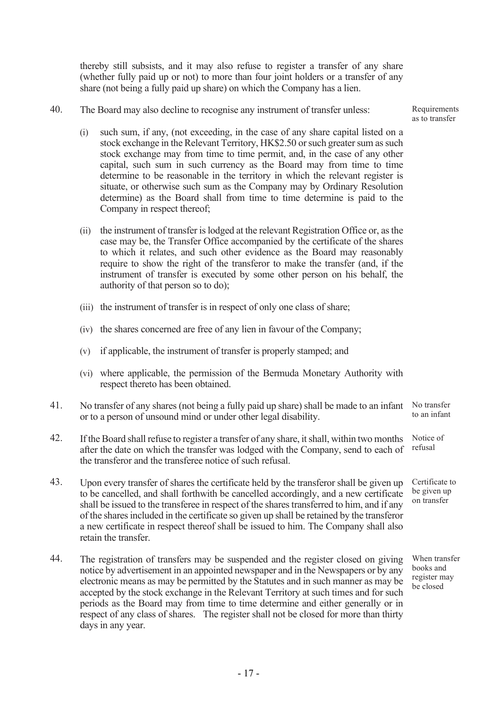thereby still subsists, and it may also refuse to register a transfer of any share (whether fully paid up or not) to more than four joint holders or a transfer of any share (not being a fully paid up share) on which the Company has a lien.

40. The Board may also decline to recognise any instrument of transfer unless:

(i) such sum, if any, (not exceeding, in the case of any share capital listed on a stock exchange in the Relevant Territory, HK\$2.50 or such greater sum as such stock exchange may from time to time permit, and, in the case of any other capital, such sum in such currency as the Board may from time to time determine to be reasonable in the territory in which the relevant register is situate, or otherwise such sum as the Company may by Ordinary Resolution determine) as the Board shall from time to time determine is paid to the Company in respect thereof;

- (ii) the instrument of transfer is lodged at the relevant Registration Office or, as the case may be, the Transfer Office accompanied by the certificate of the shares to which it relates, and such other evidence as the Board may reasonably require to show the right of the transferor to make the transfer (and, if the instrument of transfer is executed by some other person on his behalf, the authority of that person so to do);
- (iii) the instrument of transfer is in respect of only one class of share;
- (iv) the shares concerned are free of any lien in favour of the Company;
- (v) if applicable, the instrument of transfer is properly stamped; and
- (vi) where applicable, the permission of the Bermuda Monetary Authority with respect thereto has been obtained.
- 41. No transfer of any shares (not being a fully paid up share) shall be made to an infant or to a person of unsound mind or under other legal disability. No transfer to an infant
- 42. If the Board shall refuse to register a transfer of any share, it shall, within two months after the date on which the transfer was lodged with the Company, send to each of the transferor and the transferee notice of such refusal. Notice of refusal
- 43. Upon every transfer of shares the certificate held by the transferor shall be given up to be cancelled, and shall forthwith be cancelled accordingly, and a new certificate shall be issued to the transferee in respect of the shares transferred to him, and if any of the shares included in the certificate so given up shall be retained by the transferor a new certificate in respect thereof shall be issued to him. The Company shall also retain the transfer. Certificate to be given up on transfer
- 44. The registration of transfers may be suspended and the register closed on giving notice by advertisement in an appointed newspaper and in the Newspapers or by any electronic means as may be permitted by the Statutes and in such manner as may be accepted by the stock exchange in the Relevant Territory at such times and for such periods as the Board may from time to time determine and either generally or in respect of any class of shares. The register shall not be closed for more than thirty days in any year.

**Requirements** as to transfer

When transfer books and register may be closed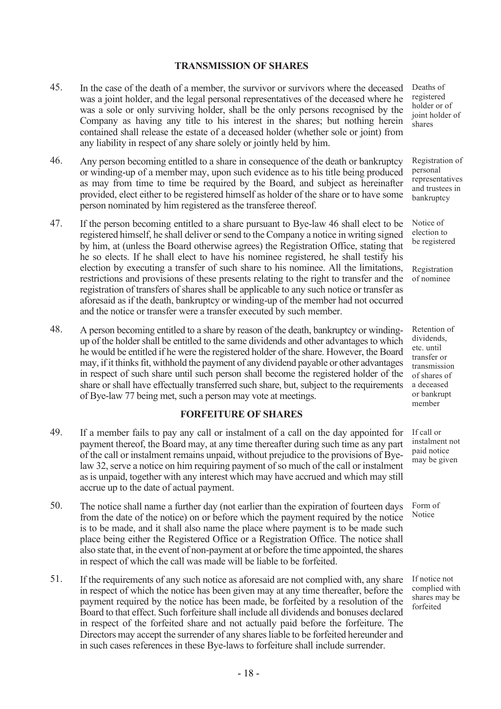### TRANSMISSION OF SHARES

- 45. In the case of the death of a member, the survivor or survivors where the deceased was a joint holder, and the legal personal representatives of the deceased where he was a sole or only surviving holder, shall be the only persons recognised by the Company as having any title to his interest in the shares; but nothing herein contained shall release the estate of a deceased holder (whether sole or joint) from any liability in respect of any share solely or jointly held by him.
- 46. Any person becoming entitled to a share in consequence of the death or bankruptcy or winding-up of a member may, upon such evidence as to his title being produced as may from time to time be required by the Board, and subject as hereinafter provided, elect either to be registered himself as holder of the share or to have some person nominated by him registered as the transferee thereof.
- 47. If the person becoming entitled to a share pursuant to Bye-law 46 shall elect to be registered himself, he shall deliver or send to the Company a notice in writing signed by him, at (unless the Board otherwise agrees) the Registration Office, stating that he so elects. If he shall elect to have his nominee registered, he shall testify his election by executing a transfer of such share to his nominee. All the limitations, restrictions and provisions of these presents relating to the right to transfer and the registration of transfers of shares shall be applicable to any such notice or transfer as aforesaid as if the death, bankruptcy or winding-up of the member had not occurred and the notice or transfer were a transfer executed by such member.
- 48. A person becoming entitled to a share by reason of the death, bankruptcy or windingup of the holder shall be entitled to the same dividends and other advantages to which he would be entitled if he were the registered holder of the share. However, the Board may, if it thinks fit, withhold the payment of any dividend payable or other advantages in respect of such share until such person shall become the registered holder of the share or shall have effectually transferred such share, but, subject to the requirements of Bye-law 77 being met, such a person may vote at meetings.

## FORFEITURE OF SHARES

- 49. If a member fails to pay any call or instalment of a call on the day appointed for payment thereof, the Board may, at any time thereafter during such time as any part of the call or instalment remains unpaid, without prejudice to the provisions of Byelaw 32, serve a notice on him requiring payment of so much of the call or instalment as is unpaid, together with any interest which may have accrued and which may still accrue up to the date of actual payment.
- 50. The notice shall name a further day (not earlier than the expiration of fourteen days from the date of the notice) on or before which the payment required by the notice is to be made, and it shall also name the place where payment is to be made such place being either the Registered Office or a Registration Office. The notice shall also state that, in the event of non-payment at or before the time appointed, the shares in respect of which the call was made will be liable to be forfeited.
- 51. If the requirements of any such notice as aforesaid are not complied with, any share in respect of which the notice has been given may at any time thereafter, before the payment required by the notice has been made, be forfeited by a resolution of the Board to that effect. Such forfeiture shall include all dividends and bonuses declared in respect of the forfeited share and not actually paid before the forfeiture. The Directors may accept the surrender of any shares liable to be forfeited hereunder and in such cases references in these Bye-laws to forfeiture shall include surrender.

Deaths of registered holder or of joint holder of shares

Registration of personal .<br>representatives and trustees in bankruptcy

Notice of election to be registered

Registration of nominee

Retention of dividends, etc. until transfer or transmission of shares of a deceased or bankrupt member

If call or instalment not paid notice may be given

Form of Notice

If notice not complied with shares may be forfeited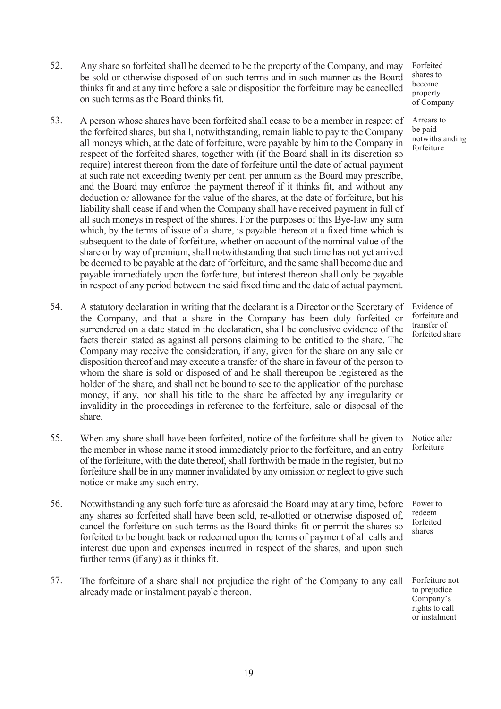- 53. A person whose shares have been forfeited shall cease to be a member in respect of the forfeited shares, but shall, notwithstanding, remain liable to pay to the Company all moneys which, at the date of forfeiture, were payable by him to the Company in respect of the forfeited shares, together with (if the Board shall in its discretion so require) interest thereon from the date of forfeiture until the date of actual payment at such rate not exceeding twenty per cent. per annum as the Board may prescribe, and the Board may enforce the payment thereof if it thinks fit, and without any deduction or allowance for the value of the shares, at the date of forfeiture, but his liability shall cease if and when the Company shall have received payment in full of all such moneys in respect of the shares. For the purposes of this Bye-law any sum which, by the terms of issue of a share, is payable thereon at a fixed time which is subsequent to the date of forfeiture, whether on account of the nominal value of the share or by way of premium, shall notwithstanding that such time has not yet arrived be deemed to be payable at the date of forfeiture, and the same shall become due and payable immediately upon the forfeiture, but interest thereon shall only be payable in respect of any period between the said fixed time and the date of actual payment.
- 54. A statutory declaration in writing that the declarant is a Director or the Secretary of the Company, and that a share in the Company has been duly forfeited or surrendered on a date stated in the declaration, shall be conclusive evidence of the facts therein stated as against all persons claiming to be entitled to the share. The Company may receive the consideration, if any, given for the share on any sale or disposition thereof and may execute a transfer of the share in favour of the person to whom the share is sold or disposed of and he shall thereupon be registered as the holder of the share, and shall not be bound to see to the application of the purchase money, if any, nor shall his title to the share be affected by any irregularity or invalidity in the proceedings in reference to the forfeiture, sale or disposal of the share.
- 55. When any share shall have been forfeited, notice of the forfeiture shall be given to the member in whose name it stood immediately prior to the forfeiture, and an entry of the forfeiture, with the date thereof, shall forthwith be made in the register, but no forfeiture shall be in any manner invalidated by any omission or neglect to give such notice or make any such entry.
- 56. Notwithstanding any such forfeiture as aforesaid the Board may at any time, before any shares so forfeited shall have been sold, re-allotted or otherwise disposed of, cancel the forfeiture on such terms as the Board thinks fit or permit the shares so forfeited to be bought back or redeemed upon the terms of payment of all calls and interest due upon and expenses incurred in respect of the shares, and upon such further terms (if any) as it thinks fit.
- 57. The forfeiture of a share shall not prejudice the right of the Company to any call already made or instalment payable thereon.

Forfeited shares to become property of Company

Arrears to be paid notwithstanding forfeiture

Evidence of forfeiture and transfer of forfeited share

Notice after forfeiture

Power to redeem forfeited shares

Forfeiture not to prejudice Company's rights to call or instalment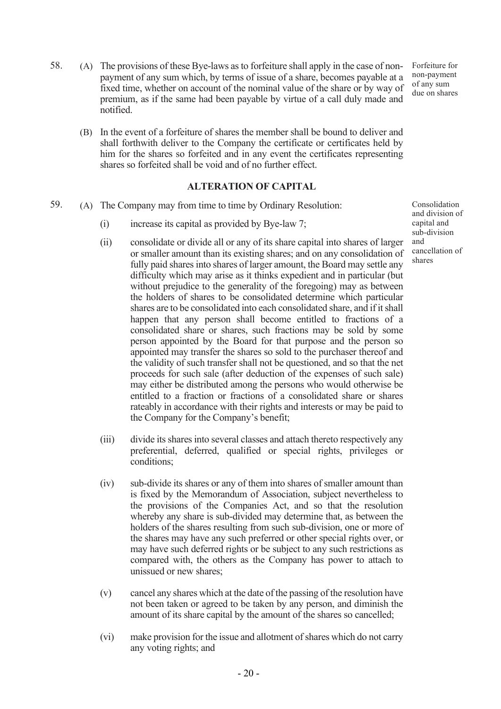- 58. (A) The provisions of these Bye-laws as to forfeiture shall apply in the case of nonpayment of any sum which, by terms of issue of a share, becomes payable at a fixed time, whether on account of the nominal value of the share or by way of premium, as if the same had been payable by virtue of a call duly made and notified.
	- Forfeiture for non-payment of any sum due on shares
	- (B) In the event of a forfeiture of shares the member shall be bound to deliver and shall forthwith deliver to the Company the certificate or certificates held by him for the shares so forfeited and in any event the certificates representing shares so forfeited shall be void and of no further effect.

## ALTERATION OF CAPITAL

- 59. (A) The Company may from time to time by Ordinary Resolution:
	- (i) increase its capital as provided by Bye-law 7;
	- (ii) consolidate or divide all or any of its share capital into shares of larger or smaller amount than its existing shares; and on any consolidation of fully paid shares into shares of larger amount, the Board may settle any difficulty which may arise as it thinks expedient and in particular (but without prejudice to the generality of the foregoing) may as between the holders of shares to be consolidated determine which particular shares are to be consolidated into each consolidated share, and if it shall happen that any person shall become entitled to fractions of a consolidated share or shares, such fractions may be sold by some person appointed by the Board for that purpose and the person so appointed may transfer the shares so sold to the purchaser thereof and the validity of such transfer shall not be questioned, and so that the net proceeds for such sale (after deduction of the expenses of such sale) may either be distributed among the persons who would otherwise be entitled to a fraction or fractions of a consolidated share or shares rateably in accordance with their rights and interests or may be paid to the Company for the Company's benefit;
	- (iii) divide its shares into several classes and attach thereto respectively any preferential, deferred, qualified or special rights, privileges or conditions;
	- (iv) sub-divide its shares or any of them into shares of smaller amount than is fixed by the Memorandum of Association, subject nevertheless to the provisions of the Companies Act, and so that the resolution whereby any share is sub-divided may determine that, as between the holders of the shares resulting from such sub-division, one or more of the shares may have any such preferred or other special rights over, or may have such deferred rights or be subject to any such restrictions as compared with, the others as the Company has power to attach to unissued or new shares;
	- (v) cancel any shares which at the date of the passing of the resolution have not been taken or agreed to be taken by any person, and diminish the amount of its share capital by the amount of the shares so cancelled;
	- (vi) make provision for the issue and allotment of shares which do not carry any voting rights; and

Consolidation and division of capital and sub-division and cancellation of shares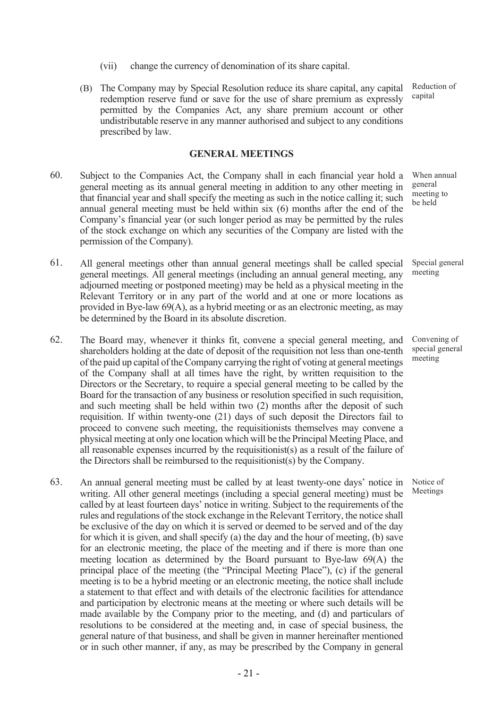- (vii) change the currency of denomination of its share capital.
- (B) The Company may by Special Resolution reduce its share capital, any capital redemption reserve fund or save for the use of share premium as expressly permitted by the Companies Act, any share premium account or other undistributable reserve in any manner authorised and subject to any conditions prescribed by law.

#### GENERAL MEETINGS

- 60. Subject to the Companies Act, the Company shall in each financial year hold a general meeting as its annual general meeting in addition to any other meeting in that financial year and shall specify the meeting as such in the notice calling it; such annual general meeting must be held within six (6) months after the end of the Company's financial year (or such longer period as may be permitted by the rules of the stock exchange on which any securities of the Company are listed with the permission of the Company).
- 61. All general meetings other than annual general meetings shall be called special general meetings. All general meetings (including an annual general meeting, any adjourned meeting or postponed meeting) may be held as a physical meeting in the Relevant Territory or in any part of the world and at one or more locations as provided in Bye-law 69(A), as a hybrid meeting or as an electronic meeting, as may be determined by the Board in its absolute discretion.
- 62. The Board may, whenever it thinks fit, convene a special general meeting, and shareholders holding at the date of deposit of the requisition not less than one-tenth of the paid up capital of the Company carrying the right of voting at general meetings of the Company shall at all times have the right, by written requisition to the Directors or the Secretary, to require a special general meeting to be called by the Board for the transaction of any business or resolution specified in such requisition, and such meeting shall be held within two (2) months after the deposit of such requisition. If within twenty-one (21) days of such deposit the Directors fail to proceed to convene such meeting, the requisitionists themselves may convene a physical meeting at only one location which will be the Principal Meeting Place, and all reasonable expenses incurred by the requisitionist(s) as a result of the failure of the Directors shall be reimbursed to the requisitionist(s) by the Company.
- 63. An annual general meeting must be called by at least twenty-one days' notice in writing. All other general meetings (including a special general meeting) must be called by at least fourteen days' notice in writing. Subject to the requirements of the rules and regulations of the stock exchange in the Relevant Territory, the notice shall be exclusive of the day on which it is served or deemed to be served and of the day for which it is given, and shall specify (a) the day and the hour of meeting, (b) save for an electronic meeting, the place of the meeting and if there is more than one meeting location as determined by the Board pursuant to Bye-law 69(A) the principal place of the meeting (the "Principal Meeting Place"), (c) if the general meeting is to be a hybrid meeting or an electronic meeting, the notice shall include a statement to that effect and with details of the electronic facilities for attendance and participation by electronic means at the meeting or where such details will be made available by the Company prior to the meeting, and (d) and particulars of resolutions to be considered at the meeting and, in case of special business, the general nature of that business, and shall be given in manner hereinafter mentioned or in such other manner, if any, as may be prescribed by the Company in general

Reduction of capital

When annual general meeting to be held

Special general meeting

Convening of special general meeting

Notice of Meetings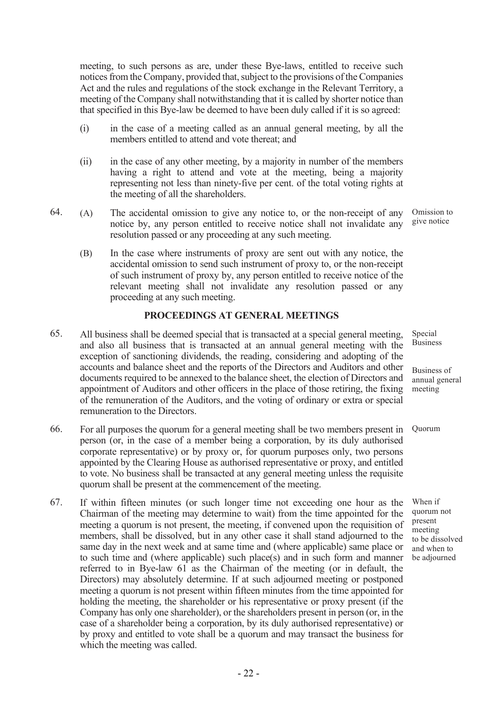meeting, to such persons as are, under these Bye-laws, entitled to receive such notices from the Company, provided that, subject to the provisions of the Companies Act and the rules and regulations of the stock exchange in the Relevant Territory, a meeting of the Company shall notwithstanding that it is called by shorter notice than that specified in this Bye-law be deemed to have been duly called if it is so agreed:

- (i) in the case of a meeting called as an annual general meeting, by all the members entitled to attend and vote thereat; and
- (ii) in the case of any other meeting, by a majority in number of the members having a right to attend and vote at the meeting, being a majority representing not less than ninety-five per cent. of the total voting rights at the meeting of all the shareholders.
- 64. (A) The accidental omission to give any notice to, or the non-receipt of any notice by, any person entitled to receive notice shall not invalidate any resolution passed or any proceeding at any such meeting. Omission to give notice
	- (B) In the case where instruments of proxy are sent out with any notice, the accidental omission to send such instrument of proxy to, or the non-receipt of such instrument of proxy by, any person entitled to receive notice of the relevant meeting shall not invalidate any resolution passed or any proceeding at any such meeting.

#### PROCEEDINGS AT GENERAL MEETINGS

- 65. All business shall be deemed special that is transacted at a special general meeting, and also all business that is transacted at an annual general meeting with the exception of sanctioning dividends, the reading, considering and adopting of the accounts and balance sheet and the reports of the Directors and Auditors and other documents required to be annexed to the balance sheet, the election of Directors and appointment of Auditors and other officers in the place of those retiring, the fixing of the remuneration of the Auditors, and the voting of ordinary or extra or special remuneration to the Directors.
- 66. For all purposes the quorum for a general meeting shall be two members present in person (or, in the case of a member being a corporation, by its duly authorised corporate representative) or by proxy or, for quorum purposes only, two persons appointed by the Clearing House as authorised representative or proxy, and entitled to vote. No business shall be transacted at any general meeting unless the requisite quorum shall be present at the commencement of the meeting.
- 67. If within fifteen minutes (or such longer time not exceeding one hour as the Chairman of the meeting may determine to wait) from the time appointed for the meeting a quorum is not present, the meeting, if convened upon the requisition of members, shall be dissolved, but in any other case it shall stand adjourned to the same day in the next week and at same time and (where applicable) same place or to such time and (where applicable) such place(s) and in such form and manner referred to in Bye-law 61 as the Chairman of the meeting (or in default, the Directors) may absolutely determine. If at such adjourned meeting or postponed meeting a quorum is not present within fifteen minutes from the time appointed for holding the meeting, the shareholder or his representative or proxy present (if the Company has only one shareholder), or the shareholders present in person (or, in the case of a shareholder being a corporation, by its duly authorised representative) or by proxy and entitled to vote shall be a quorum and may transact the business for which the meeting was called.

Special Business

Business of annual general meeting

Quorum

When if quorum not present meeting to be dissolved and when to be adjourned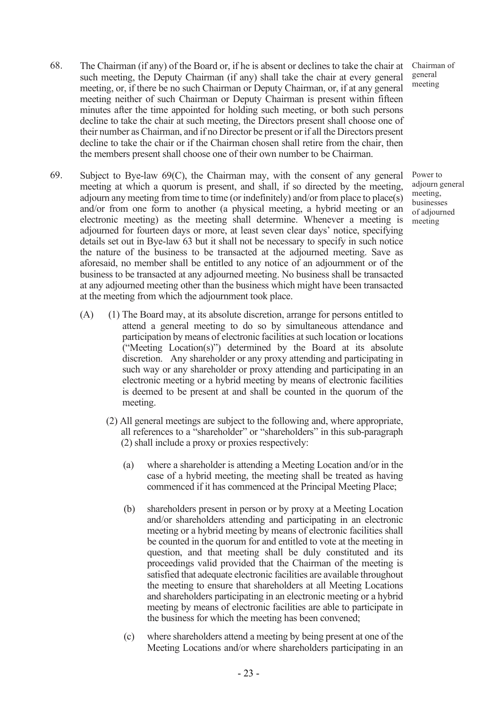- 68. The Chairman (if any) of the Board or, if he is absent or declines to take the chair at such meeting, the Deputy Chairman (if any) shall take the chair at every general meeting, or, if there be no such Chairman or Deputy Chairman, or, if at any general meeting neither of such Chairman or Deputy Chairman is present within fifteen minutes after the time appointed for holding such meeting, or both such persons decline to take the chair at such meeting, the Directors present shall choose one of their number as Chairman, and if no Director be present or if all the Directors present decline to take the chair or if the Chairman chosen shall retire from the chair, then the members present shall choose one of their own number to be Chairman.
- 69. Subject to Bye-law 69(C), the Chairman may, with the consent of any general meeting at which a quorum is present, and shall, if so directed by the meeting, adjourn any meeting from time to time (or indefinitely) and/or from place to place(s) and/or from one form to another (a physical meeting, a hybrid meeting or an electronic meeting) as the meeting shall determine. Whenever a meeting is adjourned for fourteen days or more, at least seven clear days' notice, specifying details set out in Bye-law 63 but it shall not be necessary to specify in such notice the nature of the business to be transacted at the adjourned meeting. Save as aforesaid, no member shall be entitled to any notice of an adjournment or of the business to be transacted at any adjourned meeting. No business shall be transacted at any adjourned meeting other than the business which might have been transacted at the meeting from which the adjournment took place.
	- (A) (1) The Board may, at its absolute discretion, arrange for persons entitled to attend a general meeting to do so by simultaneous attendance and participation by means of electronic facilities at such location or locations ("Meeting Location(s)") determined by the Board at its absolute discretion. Any shareholder or any proxy attending and participating in such way or any shareholder or proxy attending and participating in an electronic meeting or a hybrid meeting by means of electronic facilities is deemed to be present at and shall be counted in the quorum of the meeting.
		- (2) All general meetings are subject to the following and, where appropriate, all references to a "shareholder" or "shareholders" in this sub-paragraph (2) shall include a proxy or proxies respectively:
			- (a) where a shareholder is attending a Meeting Location and/or in the case of a hybrid meeting, the meeting shall be treated as having commenced if it has commenced at the Principal Meeting Place;
			- (b) shareholders present in person or by proxy at a Meeting Location and/or shareholders attending and participating in an electronic meeting or a hybrid meeting by means of electronic facilities shall be counted in the quorum for and entitled to vote at the meeting in question, and that meeting shall be duly constituted and its proceedings valid provided that the Chairman of the meeting is satisfied that adequate electronic facilities are available throughout the meeting to ensure that shareholders at all Meeting Locations and shareholders participating in an electronic meeting or a hybrid meeting by means of electronic facilities are able to participate in the business for which the meeting has been convened;
			- (c) where shareholders attend a meeting by being present at one of the Meeting Locations and/or where shareholders participating in an

Chairman of general meeting

Power to adjourn general meeting, businesses of adjourned meeting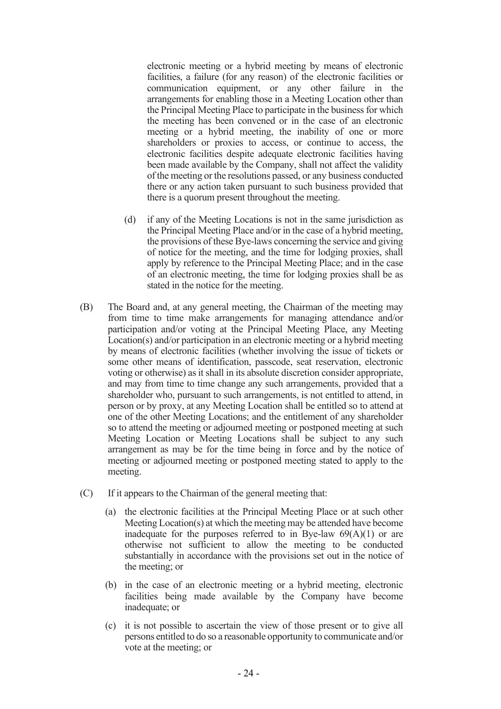electronic meeting or a hybrid meeting by means of electronic facilities, a failure (for any reason) of the electronic facilities or communication equipment, or any other failure in the arrangements for enabling those in a Meeting Location other than the Principal Meeting Place to participate in the business for which the meeting has been convened or in the case of an electronic meeting or a hybrid meeting, the inability of one or more shareholders or proxies to access, or continue to access, the electronic facilities despite adequate electronic facilities having been made available by the Company, shall not affect the validity of the meeting or the resolutions passed, or any business conducted there or any action taken pursuant to such business provided that there is a quorum present throughout the meeting.

- (d) if any of the Meeting Locations is not in the same jurisdiction as the Principal Meeting Place and/or in the case of a hybrid meeting, the provisions of these Bye-laws concerning the service and giving of notice for the meeting, and the time for lodging proxies, shall apply by reference to the Principal Meeting Place; and in the case of an electronic meeting, the time for lodging proxies shall be as stated in the notice for the meeting.
- (B) The Board and, at any general meeting, the Chairman of the meeting may from time to time make arrangements for managing attendance and/or participation and/or voting at the Principal Meeting Place, any Meeting Location(s) and/or participation in an electronic meeting or a hybrid meeting by means of electronic facilities (whether involving the issue of tickets or some other means of identification, passcode, seat reservation, electronic voting or otherwise) as it shall in its absolute discretion consider appropriate, and may from time to time change any such arrangements, provided that a shareholder who, pursuant to such arrangements, is not entitled to attend, in person or by proxy, at any Meeting Location shall be entitled so to attend at one of the other Meeting Locations; and the entitlement of any shareholder so to attend the meeting or adjourned meeting or postponed meeting at such Meeting Location or Meeting Locations shall be subject to any such arrangement as may be for the time being in force and by the notice of meeting or adjourned meeting or postponed meeting stated to apply to the meeting.
- (C) If it appears to the Chairman of the general meeting that:
	- (a) the electronic facilities at the Principal Meeting Place or at such other Meeting Location(s) at which the meeting may be attended have become inadequate for the purposes referred to in Bye-law  $69(A)(1)$  or are otherwise not sufficient to allow the meeting to be conducted substantially in accordance with the provisions set out in the notice of the meeting; or
	- (b) in the case of an electronic meeting or a hybrid meeting, electronic facilities being made available by the Company have become inadequate; or
	- (c) it is not possible to ascertain the view of those present or to give all persons entitled to do so a reasonable opportunity to communicate and/or vote at the meeting; or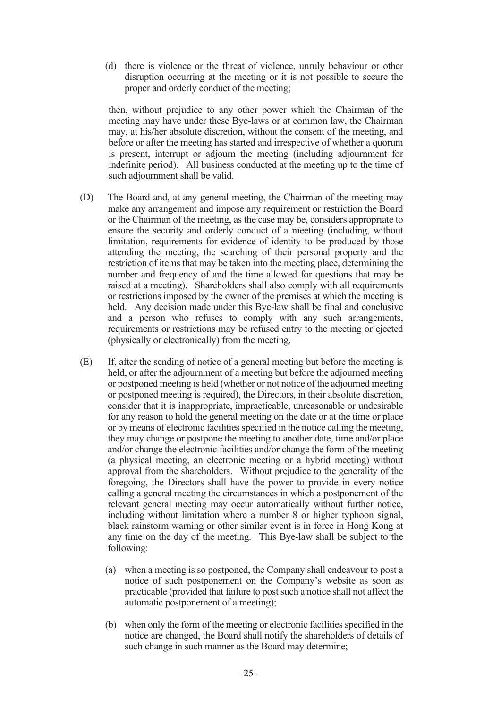(d) there is violence or the threat of violence, unruly behaviour or other disruption occurring at the meeting or it is not possible to secure the proper and orderly conduct of the meeting;

then, without prejudice to any other power which the Chairman of the meeting may have under these Bye-laws or at common law, the Chairman may, at his/her absolute discretion, without the consent of the meeting, and before or after the meeting has started and irrespective of whether a quorum is present, interrupt or adjourn the meeting (including adjournment for indefinite period). All business conducted at the meeting up to the time of such adjournment shall be valid.

- (D) The Board and, at any general meeting, the Chairman of the meeting may make any arrangement and impose any requirement or restriction the Board or the Chairman of the meeting, as the case may be, considers appropriate to ensure the security and orderly conduct of a meeting (including, without limitation, requirements for evidence of identity to be produced by those attending the meeting, the searching of their personal property and the restriction of items that may be taken into the meeting place, determining the number and frequency of and the time allowed for questions that may be raised at a meeting). Shareholders shall also comply with all requirements or restrictions imposed by the owner of the premises at which the meeting is held. Any decision made under this Bye-law shall be final and conclusive and a person who refuses to comply with any such arrangements, requirements or restrictions may be refused entry to the meeting or ejected (physically or electronically) from the meeting.
- (E) If, after the sending of notice of a general meeting but before the meeting is held, or after the adjournment of a meeting but before the adjourned meeting or postponed meeting is held (whether or not notice of the adjourned meeting or postponed meeting is required), the Directors, in their absolute discretion, consider that it is inappropriate, impracticable, unreasonable or undesirable for any reason to hold the general meeting on the date or at the time or place or by means of electronic facilities specified in the notice calling the meeting, they may change or postpone the meeting to another date, time and/or place and/or change the electronic facilities and/or change the form of the meeting (a physical meeting, an electronic meeting or a hybrid meeting) without approval from the shareholders. Without prejudice to the generality of the foregoing, the Directors shall have the power to provide in every notice calling a general meeting the circumstances in which a postponement of the relevant general meeting may occur automatically without further notice, including without limitation where a number 8 or higher typhoon signal, black rainstorm warning or other similar event is in force in Hong Kong at any time on the day of the meeting. This Bye-law shall be subject to the following:
	- (a) when a meeting is so postponed, the Company shall endeavour to post a notice of such postponement on the Company's website as soon as practicable (provided that failure to post such a notice shall not affect the automatic postponement of a meeting);
	- (b) when only the form of the meeting or electronic facilities specified in the notice are changed, the Board shall notify the shareholders of details of such change in such manner as the Board may determine;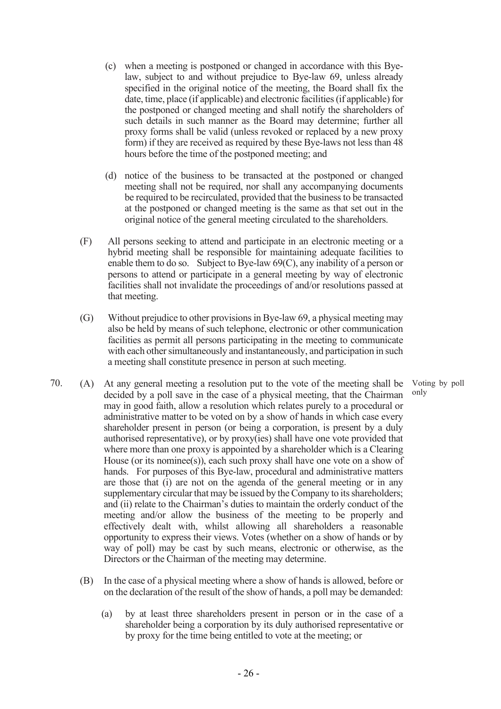- (c) when a meeting is postponed or changed in accordance with this Byelaw, subject to and without prejudice to Bye-law 69, unless already specified in the original notice of the meeting, the Board shall fix the date, time, place (if applicable) and electronic facilities (if applicable) for the postponed or changed meeting and shall notify the shareholders of such details in such manner as the Board may determine; further all proxy forms shall be valid (unless revoked or replaced by a new proxy form) if they are received as required by these Bye-laws not less than 48 hours before the time of the postponed meeting; and
- (d) notice of the business to be transacted at the postponed or changed meeting shall not be required, nor shall any accompanying documents be required to be recirculated, provided that the business to be transacted at the postponed or changed meeting is the same as that set out in the original notice of the general meeting circulated to the shareholders.
- (F) All persons seeking to attend and participate in an electronic meeting or a hybrid meeting shall be responsible for maintaining adequate facilities to enable them to do so. Subject to Bye-law  $69(C)$ , any inability of a person or persons to attend or participate in a general meeting by way of electronic facilities shall not invalidate the proceedings of and/or resolutions passed at that meeting.
- (G) Without prejudice to other provisions in Bye-law 69, a physical meeting may also be held by means of such telephone, electronic or other communication facilities as permit all persons participating in the meeting to communicate with each other simultaneously and instantaneously, and participation in such a meeting shall constitute presence in person at such meeting.
- 70. (A) At any general meeting a resolution put to the vote of the meeting shall be decided by a poll save in the case of a physical meeting, that the Chairman may in good faith, allow a resolution which relates purely to a procedural or administrative matter to be voted on by a show of hands in which case every shareholder present in person (or being a corporation, is present by a duly authorised representative), or by proxy(ies) shall have one vote provided that where more than one proxy is appointed by a shareholder which is a Clearing House (or its nominee(s)), each such proxy shall have one vote on a show of hands. For purposes of this Bye-law, procedural and administrative matters are those that (i) are not on the agenda of the general meeting or in any supplementary circular that may be issued by the Company to its shareholders; and (ii) relate to the Chairman's duties to maintain the orderly conduct of the meeting and/or allow the business of the meeting to be properly and effectively dealt with, whilst allowing all shareholders a reasonable opportunity to express their views. Votes (whether on a show of hands or by way of poll) may be cast by such means, electronic or otherwise, as the Directors or the Chairman of the meeting may determine.
	- (B) In the case of a physical meeting where a show of hands is allowed, before or on the declaration of the result of the show of hands, a poll may be demanded:
		- (a) by at least three shareholders present in person or in the case of a shareholder being a corporation by its duly authorised representative or by proxy for the time being entitled to vote at the meeting; or

Voting by poll only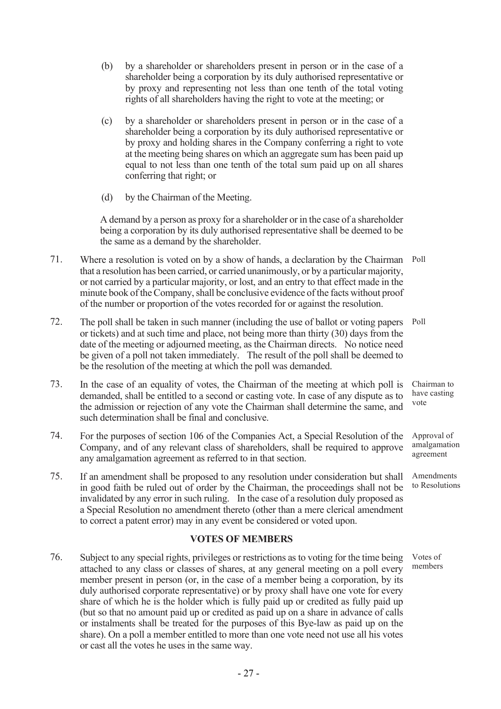- (b) by a shareholder or shareholders present in person or in the case of a shareholder being a corporation by its duly authorised representative or by proxy and representing not less than one tenth of the total voting rights of all shareholders having the right to vote at the meeting; or
- (c) by a shareholder or shareholders present in person or in the case of a shareholder being a corporation by its duly authorised representative or by proxy and holding shares in the Company conferring a right to vote at the meeting being shares on which an aggregate sum has been paid up equal to not less than one tenth of the total sum paid up on all shares conferring that right; or
- (d) by the Chairman of the Meeting.

A demand by a person as proxy for a shareholder or in the case of a shareholder being a corporation by its duly authorised representative shall be deemed to be the same as a demand by the shareholder.

- 71. Where a resolution is voted on by a show of hands, a declaration by the Chairman Poll that a resolution has been carried, or carried unanimously, or by a particular majority, or not carried by a particular majority, or lost, and an entry to that effect made in the minute book of the Company, shall be conclusive evidence of the facts without proof of the number or proportion of the votes recorded for or against the resolution.
- 72. The poll shall be taken in such manner (including the use of ballot or voting papers or tickets) and at such time and place, not being more than thirty (30) days from the date of the meeting or adjourned meeting, as the Chairman directs. No notice need be given of a poll not taken immediately. The result of the poll shall be deemed to be the resolution of the meeting at which the poll was demanded. Poll
- 73. In the case of an equality of votes, the Chairman of the meeting at which poll is demanded, shall be entitled to a second or casting vote. In case of any dispute as to the admission or rejection of any vote the Chairman shall determine the same, and such determination shall be final and conclusive.
- 74. For the purposes of section 106 of the Companies Act, a Special Resolution of the Company, and of any relevant class of shareholders, shall be required to approve any amalgamation agreement as referred to in that section.
- 75. If an amendment shall be proposed to any resolution under consideration but shall in good faith be ruled out of order by the Chairman, the proceedings shall not be invalidated by any error in such ruling. In the case of a resolution duly proposed as a Special Resolution no amendment thereto (other than a mere clerical amendment to correct a patent error) may in any event be considered or voted upon.

## VOTES OF MEMBERS

76. Subject to any special rights, privileges or restrictions as to voting for the time being attached to any class or classes of shares, at any general meeting on a poll every member present in person (or, in the case of a member being a corporation, by its duly authorised corporate representative) or by proxy shall have one vote for every share of which he is the holder which is fully paid up or credited as fully paid up (but so that no amount paid up or credited as paid up on a share in advance of calls or instalments shall be treated for the purposes of this Bye-law as paid up on the share). On a poll a member entitled to more than one vote need not use all his votes or cast all the votes he uses in the same way.

Chairman to have casting vote

Approval of amalgamation agreement

Amendments to Resolutions

Votes of members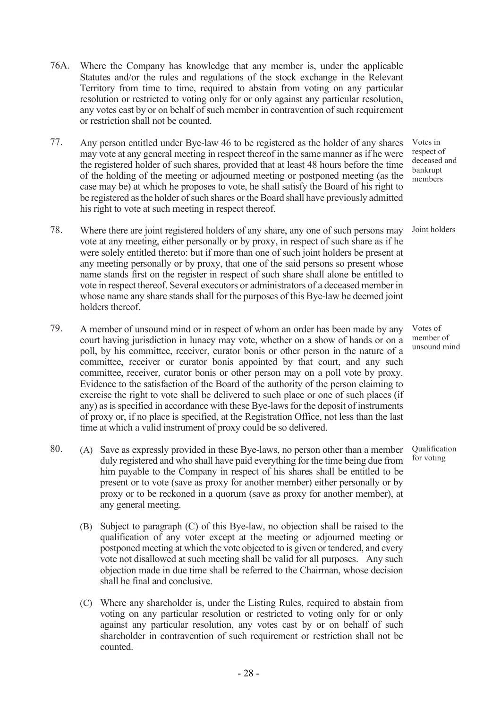- 76A. Where the Company has knowledge that any member is, under the applicable Statutes and/or the rules and regulations of the stock exchange in the Relevant Territory from time to time, required to abstain from voting on any particular resolution or restricted to voting only for or only against any particular resolution, any votes cast by or on behalf of such member in contravention of such requirement or restriction shall not be counted.
- 77. Any person entitled under Bye-law 46 to be registered as the holder of any shares may vote at any general meeting in respect thereof in the same manner as if he were the registered holder of such shares, provided that at least 48 hours before the time of the holding of the meeting or adjourned meeting or postponed meeting (as the case may be) at which he proposes to vote, he shall satisfy the Board of his right to be registered as the holder of such shares or the Board shall have previously admitted his right to vote at such meeting in respect thereof.
- 78. Where there are joint registered holders of any share, any one of such persons may vote at any meeting, either personally or by proxy, in respect of such share as if he were solely entitled thereto: but if more than one of such joint holders be present at any meeting personally or by proxy, that one of the said persons so present whose name stands first on the register in respect of such share shall alone be entitled to vote in respect thereof. Several executors or administrators of a deceased member in whose name any share stands shall for the purposes of this Bye-law be deemed joint holders thereof.
- 79. A member of unsound mind or in respect of whom an order has been made by any court having jurisdiction in lunacy may vote, whether on a show of hands or on a poll, by his committee, receiver, curator bonis or other person in the nature of a committee, receiver or curator bonis appointed by that court, and any such committee, receiver, curator bonis or other person may on a poll vote by proxy. Evidence to the satisfaction of the Board of the authority of the person claiming to exercise the right to vote shall be delivered to such place or one of such places (if any) as is specified in accordance with these Bye-laws for the deposit of instruments of proxy or, if no place is specified, at the Registration Office, not less than the last time at which a valid instrument of proxy could be so delivered.
- 80. (A) Save as expressly provided in these Bye-laws, no person other than a member duly registered and who shall have paid everything for the time being due from him payable to the Company in respect of his shares shall be entitled to be present or to vote (save as proxy for another member) either personally or by proxy or to be reckoned in a quorum (save as proxy for another member), at any general meeting.
	- (B) Subject to paragraph (C) of this Bye-law, no objection shall be raised to the qualification of any voter except at the meeting or adjourned meeting or postponed meeting at which the vote objected to is given or tendered, and every vote not disallowed at such meeting shall be valid for all purposes. Any such objection made in due time shall be referred to the Chairman, whose decision shall be final and conclusive.
	- (C) Where any shareholder is, under the Listing Rules, required to abstain from voting on any particular resolution or restricted to voting only for or only against any particular resolution, any votes cast by or on behalf of such shareholder in contravention of such requirement or restriction shall not be counted.

Votes in respect of deceased and bankrupt members

Joint holders

Votes of member of unsound mind

Qualification for voting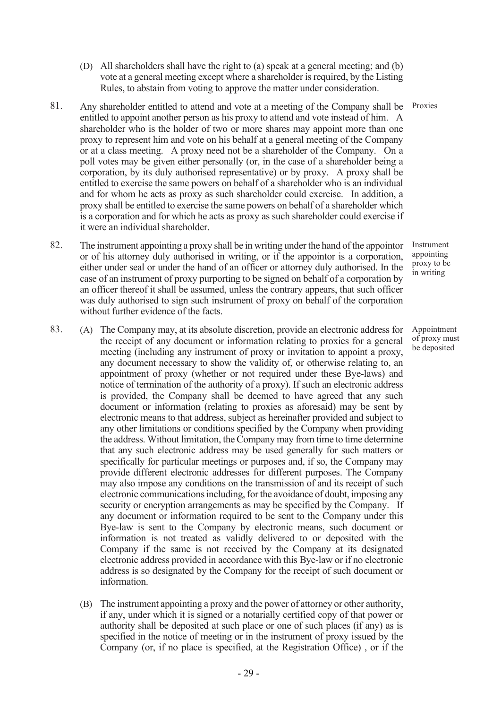- (D) All shareholders shall have the right to (a) speak at a general meeting; and (b) vote at a general meeting except where a shareholder is required, by the Listing Rules, to abstain from voting to approve the matter under consideration.
- 81. Any shareholder entitled to attend and vote at a meeting of the Company shall be Proxies entitled to appoint another person as his proxy to attend and vote instead of him. A shareholder who is the holder of two or more shares may appoint more than one proxy to represent him and vote on his behalf at a general meeting of the Company or at a class meeting. A proxy need not be a shareholder of the Company. On a poll votes may be given either personally (or, in the case of a shareholder being a corporation, by its duly authorised representative) or by proxy. A proxy shall be entitled to exercise the same powers on behalf of a shareholder who is an individual and for whom he acts as proxy as such shareholder could exercise. In addition, a proxy shall be entitled to exercise the same powers on behalf of a shareholder which is a corporation and for which he acts as proxy as such shareholder could exercise if it were an individual shareholder.
- 82. The instrument appointing a proxy shall be in writing under the hand of the appointor or of his attorney duly authorised in writing, or if the appointor is a corporation, either under seal or under the hand of an officer or attorney duly authorised. In the case of an instrument of proxy purporting to be signed on behalf of a corporation by an officer thereof it shall be assumed, unless the contrary appears, that such officer was duly authorised to sign such instrument of proxy on behalf of the corporation without further evidence of the facts.

Instrument appointing proxy to be in writing

Appointment of proxy must be deposited

- 83. (A) The Company may, at its absolute discretion, provide an electronic address for the receipt of any document or information relating to proxies for a general meeting (including any instrument of proxy or invitation to appoint a proxy, any document necessary to show the validity of, or otherwise relating to, an appointment of proxy (whether or not required under these Bye-laws) and notice of termination of the authority of a proxy). If such an electronic address is provided, the Company shall be deemed to have agreed that any such document or information (relating to proxies as aforesaid) may be sent by electronic means to that address, subject as hereinafter provided and subject to any other limitations or conditions specified by the Company when providing the address. Without limitation, the Company may from time to time determine that any such electronic address may be used generally for such matters or specifically for particular meetings or purposes and, if so, the Company may provide different electronic addresses for different purposes. The Company may also impose any conditions on the transmission of and its receipt of such electronic communications including, for the avoidance of doubt, imposing any security or encryption arrangements as may be specified by the Company. If any document or information required to be sent to the Company under this Bye-law is sent to the Company by electronic means, such document or information is not treated as validly delivered to or deposited with the Company if the same is not received by the Company at its designated electronic address provided in accordance with this Bye-law or if no electronic address is so designated by the Company for the receipt of such document or information.
	- (B) The instrument appointing a proxy and the power of attorney or other authority, if any, under which it is signed or a notarially certified copy of that power or authority shall be deposited at such place or one of such places (if any) as is specified in the notice of meeting or in the instrument of proxy issued by the Company (or, if no place is specified, at the Registration Office) , or if the

- 29 -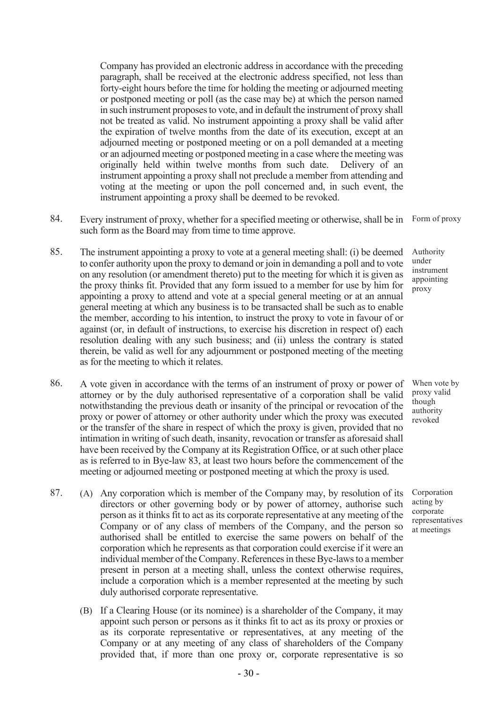Company has provided an electronic address in accordance with the preceding paragraph, shall be received at the electronic address specified, not less than forty-eight hours before the time for holding the meeting or adjourned meeting or postponed meeting or poll (as the case may be) at which the person named in such instrument proposes to vote, and in default the instrument of proxy shall not be treated as valid. No instrument appointing a proxy shall be valid after the expiration of twelve months from the date of its execution, except at an adjourned meeting or postponed meeting or on a poll demanded at a meeting or an adjourned meeting or postponed meeting in a case where the meeting was originally held within twelve months from such date. Delivery of an instrument appointing a proxy shall not preclude a member from attending and voting at the meeting or upon the poll concerned and, in such event, the instrument appointing a proxy shall be deemed to be revoked.

- 84. Every instrument of proxy, whether for a specified meeting or otherwise, shall be in Form of proxy such form as the Board may from time to time approve.
- 85. The instrument appointing a proxy to vote at a general meeting shall: (i) be deemed to confer authority upon the proxy to demand or join in demanding a poll and to vote on any resolution (or amendment thereto) put to the meeting for which it is given as the proxy thinks fit. Provided that any form issued to a member for use by him for appointing a proxy to attend and vote at a special general meeting or at an annual general meeting at which any business is to be transacted shall be such as to enable the member, according to his intention, to instruct the proxy to vote in favour of or against (or, in default of instructions, to exercise his discretion in respect of) each resolution dealing with any such business; and (ii) unless the contrary is stated therein, be valid as well for any adjournment or postponed meeting of the meeting as for the meeting to which it relates.
- 86. A vote given in accordance with the terms of an instrument of proxy or power of attorney or by the duly authorised representative of a corporation shall be valid notwithstanding the previous death or insanity of the principal or revocation of the proxy or power of attorney or other authority under which the proxy was executed or the transfer of the share in respect of which the proxy is given, provided that no intimation in writing of such death, insanity, revocation or transfer as aforesaid shall have been received by the Company at its Registration Office, or at such other place as is referred to in Bye-law 83, at least two hours before the commencement of the meeting or adjourned meeting or postponed meeting at which the proxy is used.
- 87. (A) Any corporation which is member of the Company may, by resolution of its directors or other governing body or by power of attorney, authorise such person as it thinks fit to act as its corporate representative at any meeting of the Company or of any class of members of the Company, and the person so authorised shall be entitled to exercise the same powers on behalf of the corporation which he represents as that corporation could exercise if it were an individual member of the Company. References in these Bye-laws to a member present in person at a meeting shall, unless the context otherwise requires, include a corporation which is a member represented at the meeting by such duly authorised corporate representative.
	- (B) If a Clearing House (or its nominee) is a shareholder of the Company, it may appoint such person or persons as it thinks fit to act as its proxy or proxies or as its corporate representative or representatives, at any meeting of the Company or at any meeting of any class of shareholders of the Company provided that, if more than one proxy or, corporate representative is so

 $-30-$ 

Authority under instrument appointing proxy

When vote by proxy valid though authority revoked

Corporation acting by corporate representatives at meetings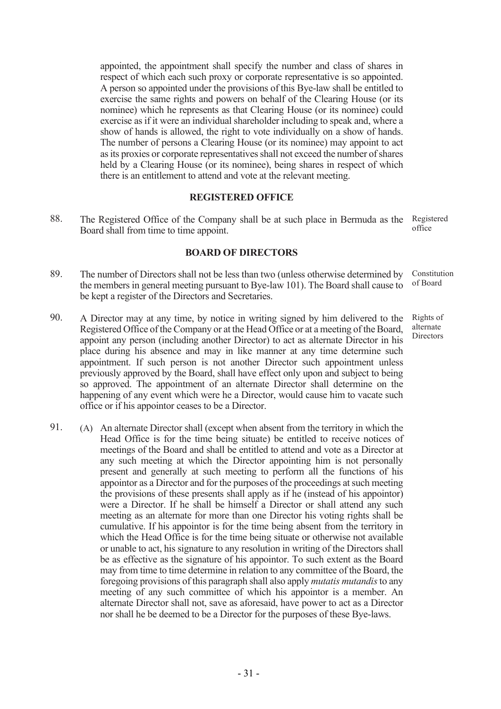appointed, the appointment shall specify the number and class of shares in respect of which each such proxy or corporate representative is so appointed. A person so appointed under the provisions of this Bye-law shall be entitled to exercise the same rights and powers on behalf of the Clearing House (or its nominee) which he represents as that Clearing House (or its nominee) could exercise as if it were an individual shareholder including to speak and, where a show of hands is allowed, the right to vote individually on a show of hands. The number of persons a Clearing House (or its nominee) may appoint to act as its proxies or corporate representatives shall not exceed the number of shares held by a Clearing House (or its nominee), being shares in respect of which there is an entitlement to attend and vote at the relevant meeting.

### REGISTERED OFFICE

88. The Registered Office of the Company shall be at such place in Bermuda as the Board shall from time to time appoint. Registered office

### BOARD OF DIRECTORS

- 89. The number of Directors shall not be less than two (unless otherwise determined by the members in general meeting pursuant to Bye-law 101). The Board shall cause to be kept a register of the Directors and Secretaries.
- 90. A Director may at any time, by notice in writing signed by him delivered to the Registered Office of the Company or at the Head Office or at a meeting of the Board, appoint any person (including another Director) to act as alternate Director in his place during his absence and may in like manner at any time determine such appointment. If such person is not another Director such appointment unless previously approved by the Board, shall have effect only upon and subject to being so approved. The appointment of an alternate Director shall determine on the happening of any event which were he a Director, would cause him to vacate such office or if his appointor ceases to be a Director.
- 91. (A) An alternate Director shall (except when absent from the territory in which the Head Office is for the time being situate) be entitled to receive notices of meetings of the Board and shall be entitled to attend and vote as a Director at any such meeting at which the Director appointing him is not personally present and generally at such meeting to perform all the functions of his appointor as a Director and for the purposes of the proceedings at such meeting the provisions of these presents shall apply as if he (instead of his appointor) were a Director. If he shall be himself a Director or shall attend any such meeting as an alternate for more than one Director his voting rights shall be cumulative. If his appointor is for the time being absent from the territory in which the Head Office is for the time being situate or otherwise not available or unable to act, his signature to any resolution in writing of the Directors shall be as effective as the signature of his appointor. To such extent as the Board may from time to time determine in relation to any committee of the Board, the foregoing provisions of this paragraph shall also apply mutatis mutandis to any meeting of any such committee of which his appointor is a member. An alternate Director shall not, save as aforesaid, have power to act as a Director nor shall he be deemed to be a Director for the purposes of these Bye-laws.

Constitution of Board

Rights of alternate Directors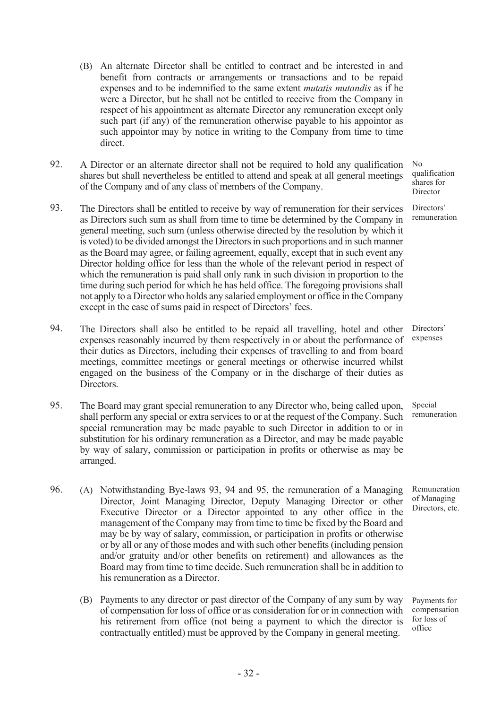- (B) An alternate Director shall be entitled to contract and be interested in and benefit from contracts or arrangements or transactions and to be repaid expenses and to be indemnified to the same extent mutatis mutandis as if he were a Director, but he shall not be entitled to receive from the Company in respect of his appointment as alternate Director any remuneration except only such part (if any) of the remuneration otherwise payable to his appointor as such appointor may by notice in writing to the Company from time to time direct.
- 92. A Director or an alternate director shall not be required to hold any qualification shares but shall nevertheless be entitled to attend and speak at all general meetings of the Company and of any class of members of the Company.
- 93. The Directors shall be entitled to receive by way of remuneration for their services as Directors such sum as shall from time to time be determined by the Company in general meeting, such sum (unless otherwise directed by the resolution by which it is voted) to be divided amongst the Directors in such proportions and in such manner as the Board may agree, or failing agreement, equally, except that in such event any Director holding office for less than the whole of the relevant period in respect of which the remuneration is paid shall only rank in such division in proportion to the time during such period for which he has held office. The foregoing provisions shall not apply to a Director who holds any salaried employment or office in the Company except in the case of sums paid in respect of Directors' fees.
- 94. The Directors shall also be entitled to be repaid all travelling, hotel and other expenses reasonably incurred by them respectively in or about the performance of their duties as Directors, including their expenses of travelling to and from board meetings, committee meetings or general meetings or otherwise incurred whilst engaged on the business of the Company or in the discharge of their duties as Directors.
- 95. The Board may grant special remuneration to any Director who, being called upon, shall perform any special or extra services to or at the request of the Company. Such special remuneration may be made payable to such Director in addition to or in substitution for his ordinary remuneration as a Director, and may be made payable by way of salary, commission or participation in profits or otherwise as may be arranged.
- 96. (A) Notwithstanding Bye-laws 93, 94 and 95, the remuneration of a Managing Director, Joint Managing Director, Deputy Managing Director or other Executive Director or a Director appointed to any other office in the management of the Company may from time to time be fixed by the Board and may be by way of salary, commission, or participation in profits or otherwise or by all or any of those modes and with such other benefits (including pension and/or gratuity and/or other benefits on retirement) and allowances as the Board may from time to time decide. Such remuneration shall be in addition to his remuneration as a Director.
	- (B) Payments to any director or past director of the Company of any sum by way of compensation for loss of office or as consideration for or in connection with his retirement from office (not being a payment to which the director is contractually entitled) must be approved by the Company in general meeting.

No qualification shares for Director

> Directors' remuneration

Directors' expenses

Special remuneration

Remuneration of Managing Directors, etc.

Payments for compensation for loss of office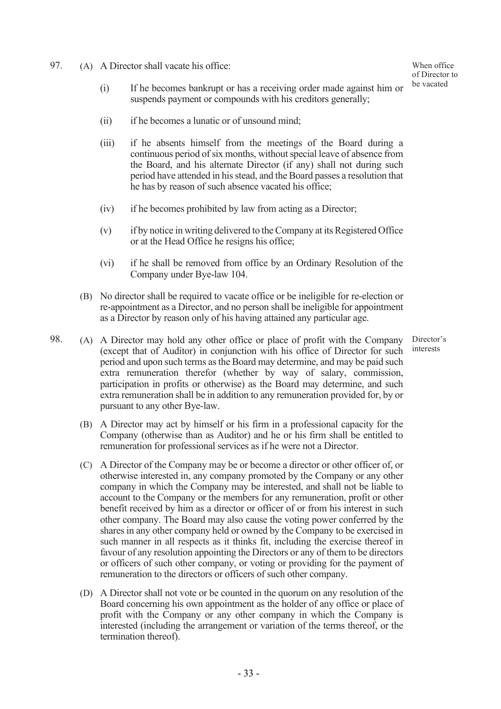97. (A) A Director shall vacate his office:

- (i) If he becomes bankrupt or has a receiving order made against him or suspends payment or compounds with his creditors generally;
- (ii) if he becomes a lunatic or of unsound mind;
- (iii) if he absents himself from the meetings of the Board during a continuous period of six months, without special leave of absence from the Board, and his alternate Director (if any) shall not during such period have attended in his stead, and the Board passes a resolution that he has by reason of such absence vacated his office;
- (iv) if he becomes prohibited by law from acting as a Director;
- (v) if by notice in writing delivered to the Company at its Registered Office or at the Head Office he resigns his office;
- (vi) if he shall be removed from office by an Ordinary Resolution of the Company under Bye-law 104.
- (B) No director shall be required to vacate office or be ineligible for re-election or re-appointment as a Director, and no person shall be ineligible for appointment as a Director by reason only of his having attained any particular age.

Director's interests

- 98. (A) A Director may hold any other office or place of profit with the Company (except that of Auditor) in conjunction with his office of Director for such period and upon such terms as the Board may determine, and may be paid such extra remuneration therefor (whether by way of salary, commission, participation in profits or otherwise) as the Board may determine, and such extra remuneration shall be in addition to any remuneration provided for, by or pursuant to any other Bye-law.
	- (B) A Director may act by himself or his firm in a professional capacity for the Company (otherwise than as Auditor) and he or his firm shall be entitled to remuneration for professional services as if he were not a Director.
	- (C) A Director of the Company may be or become a director or other officer of, or otherwise interested in, any company promoted by the Company or any other company in which the Company may be interested, and shall not be liable to account to the Company or the members for any remuneration, profit or other benefit received by him as a director or officer of or from his interest in such other company. The Board may also cause the voting power conferred by the shares in any other company held or owned by the Company to be exercised in such manner in all respects as it thinks fit, including the exercise thereof in favour of any resolution appointing the Directors or any of them to be directors or officers of such other company, or voting or providing for the payment of remuneration to the directors or officers of such other company.
	- (D) A Director shall not vote or be counted in the quorum on any resolution of the Board concerning his own appointment as the holder of any office or place of profit with the Company or any other company in which the Company is interested (including the arrangement or variation of the terms thereof, or the termination thereof).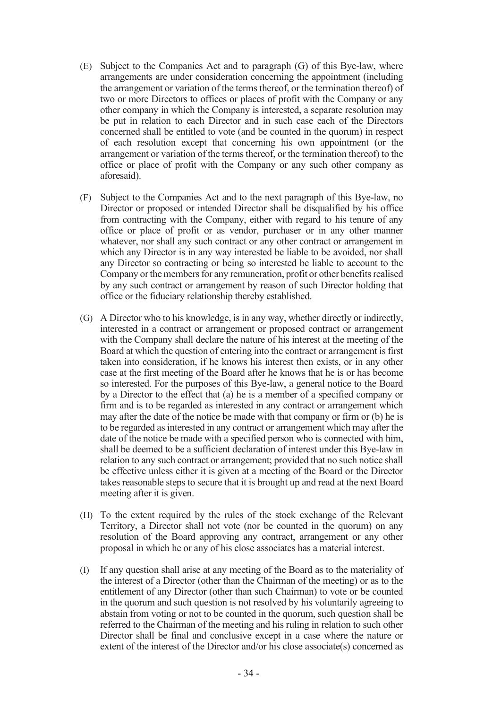- (E) Subject to the Companies Act and to paragraph (G) of this Bye-law, where arrangements are under consideration concerning the appointment (including the arrangement or variation of the terms thereof, or the termination thereof) of two or more Directors to offices or places of profit with the Company or any other company in which the Company is interested, a separate resolution may be put in relation to each Director and in such case each of the Directors concerned shall be entitled to vote (and be counted in the quorum) in respect of each resolution except that concerning his own appointment (or the arrangement or variation of the terms thereof, or the termination thereof) to the office or place of profit with the Company or any such other company as aforesaid).
- (F) Subject to the Companies Act and to the next paragraph of this Bye-law, no Director or proposed or intended Director shall be disqualified by his office from contracting with the Company, either with regard to his tenure of any office or place of profit or as vendor, purchaser or in any other manner whatever, nor shall any such contract or any other contract or arrangement in which any Director is in any way interested be liable to be avoided, nor shall any Director so contracting or being so interested be liable to account to the Company or the members for any remuneration, profit or other benefits realised by any such contract or arrangement by reason of such Director holding that office or the fiduciary relationship thereby established.
- (G) A Director who to his knowledge, is in any way, whether directly or indirectly, interested in a contract or arrangement or proposed contract or arrangement with the Company shall declare the nature of his interest at the meeting of the Board at which the question of entering into the contract or arrangement is first taken into consideration, if he knows his interest then exists, or in any other case at the first meeting of the Board after he knows that he is or has become so interested. For the purposes of this Bye-law, a general notice to the Board by a Director to the effect that (a) he is a member of a specified company or firm and is to be regarded as interested in any contract or arrangement which may after the date of the notice be made with that company or firm or (b) he is to be regarded as interested in any contract or arrangement which may after the date of the notice be made with a specified person who is connected with him, shall be deemed to be a sufficient declaration of interest under this Bye-law in relation to any such contract or arrangement; provided that no such notice shall be effective unless either it is given at a meeting of the Board or the Director takes reasonable steps to secure that it is brought up and read at the next Board meeting after it is given.
- (H) To the extent required by the rules of the stock exchange of the Relevant Territory, a Director shall not vote (nor be counted in the quorum) on any resolution of the Board approving any contract, arrangement or any other proposal in which he or any of his close associates has a material interest.
- (I) If any question shall arise at any meeting of the Board as to the materiality of the interest of a Director (other than the Chairman of the meeting) or as to the entitlement of any Director (other than such Chairman) to vote or be counted in the quorum and such question is not resolved by his voluntarily agreeing to abstain from voting or not to be counted in the quorum, such question shall be referred to the Chairman of the meeting and his ruling in relation to such other Director shall be final and conclusive except in a case where the nature or extent of the interest of the Director and/or his close associate(s) concerned as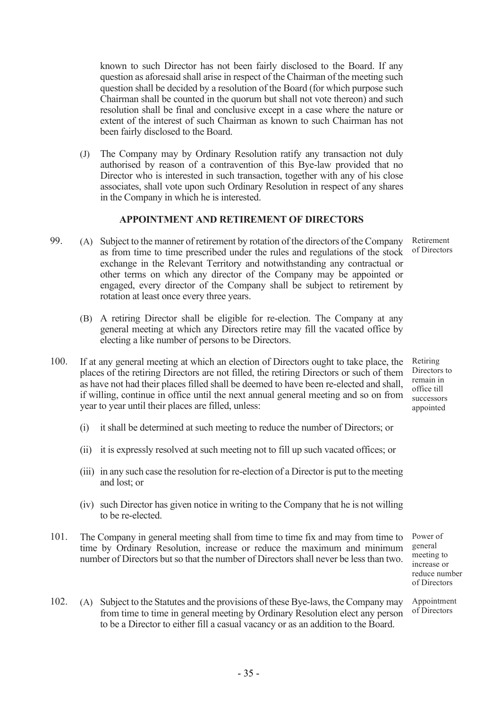known to such Director has not been fairly disclosed to the Board. If any question as aforesaid shall arise in respect of the Chairman of the meeting such question shall be decided by a resolution of the Board (for which purpose such Chairman shall be counted in the quorum but shall not vote thereon) and such resolution shall be final and conclusive except in a case where the nature or extent of the interest of such Chairman as known to such Chairman has not been fairly disclosed to the Board.

(J) The Company may by Ordinary Resolution ratify any transaction not duly authorised by reason of a contravention of this Bye-law provided that no Director who is interested in such transaction, together with any of his close associates, shall vote upon such Ordinary Resolution in respect of any shares in the Company in which he is interested.

### APPOINTMENT AND RETIREMENT OF DIRECTORS

- 99. (A) Subject to the manner of retirement by rotation of the directors of the Company as from time to time prescribed under the rules and regulations of the stock exchange in the Relevant Territory and notwithstanding any contractual or other terms on which any director of the Company may be appointed or engaged, every director of the Company shall be subject to retirement by rotation at least once every three years.
	- (B) A retiring Director shall be eligible for re-election. The Company at any general meeting at which any Directors retire may fill the vacated office by electing a like number of persons to be Directors.
- 100. If at any general meeting at which an election of Directors ought to take place, the places of the retiring Directors are not filled, the retiring Directors or such of them as have not had their places filled shall be deemed to have been re-elected and shall, if willing, continue in office until the next annual general meeting and so on from year to year until their places are filled, unless:
	- (i) it shall be determined at such meeting to reduce the number of Directors; or
	- (ii) it is expressly resolved at such meeting not to fill up such vacated offices; or
	- (iii) in any such case the resolution for re-election of a Director is put to the meeting and lost; or
	- (iv) such Director has given notice in writing to the Company that he is not willing to be re-elected.
- 101. The Company in general meeting shall from time to time fix and may from time to time by Ordinary Resolution, increase or reduce the maximum and minimum number of Directors but so that the number of Directors shall never be less than two.

Power of general meeting to increase or reduce number of Directors

102. (A) Subject to the Statutes and the provisions of these Bye-laws, the Company may from time to time in general meeting by Ordinary Resolution elect any person to be a Director to either fill a casual vacancy or as an addition to the Board. Appointment of Directors

Retirement of Directors

Retiring Directors to remain in office till successors appointed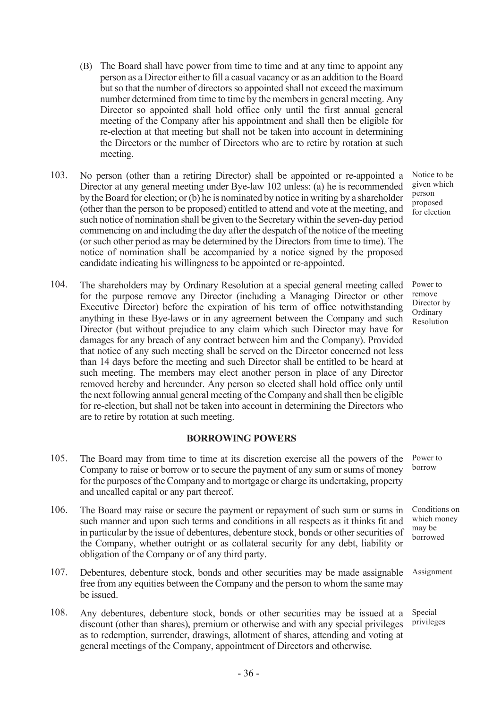- (B) The Board shall have power from time to time and at any time to appoint any person as a Director either to fill a casual vacancy or as an addition to the Board but so that the number of directors so appointed shall not exceed the maximum number determined from time to time by the members in general meeting. Any Director so appointed shall hold office only until the first annual general meeting of the Company after his appointment and shall then be eligible for re-election at that meeting but shall not be taken into account in determining the Directors or the number of Directors who are to retire by rotation at such meeting.
- 103. No person (other than a retiring Director) shall be appointed or re-appointed a Director at any general meeting under Bye-law 102 unless: (a) he is recommended by the Board for election; or (b) he is nominated by notice in writing by a shareholder (other than the person to be proposed) entitled to attend and vote at the meeting, and such notice of nomination shall be given to the Secretary within the seven-day period commencing on and including the day after the despatch of the notice of the meeting (or such other period as may be determined by the Directors from time to time). The notice of nomination shall be accompanied by a notice signed by the proposed candidate indicating his willingness to be appointed or re-appointed.
- 104. The shareholders may by Ordinary Resolution at a special general meeting called for the purpose remove any Director (including a Managing Director or other Executive Director) before the expiration of his term of office notwithstanding anything in these Bye-laws or in any agreement between the Company and such Director (but without prejudice to any claim which such Director may have for damages for any breach of any contract between him and the Company). Provided that notice of any such meeting shall be served on the Director concerned not less than 14 days before the meeting and such Director shall be entitled to be heard at such meeting. The members may elect another person in place of any Director removed hereby and hereunder. Any person so elected shall hold office only until the next following annual general meeting of the Company and shall then be eligible for re-election, but shall not be taken into account in determining the Directors who are to retire by rotation at such meeting.

## BORROWING POWERS

- 105. The Board may from time to time at its discretion exercise all the powers of the Company to raise or borrow or to secure the payment of any sum or sums of money for the purposes of the Company and to mortgage or charge its undertaking, property and uncalled capital or any part thereof.
- 106. The Board may raise or secure the payment or repayment of such sum or sums in such manner and upon such terms and conditions in all respects as it thinks fit and in particular by the issue of debentures, debenture stock, bonds or other securities of the Company, whether outright or as collateral security for any debt, liability or obligation of the Company or of any third party.
- 107. Debentures, debenture stock, bonds and other securities may be made assignable free from any equities between the Company and the person to whom the same may be issued.
- 108. Any debentures, debenture stock, bonds or other securities may be issued at a discount (other than shares), premium or otherwise and with any special privileges as to redemption, surrender, drawings, allotment of shares, attending and voting at general meetings of the Company, appointment of Directors and otherwise.

Notice to be given which person proposed for election

Power to remove Director by **Ordinary** Resolution

Power to borrow

Conditions on which money may be borrowed

Assignment

Special privileges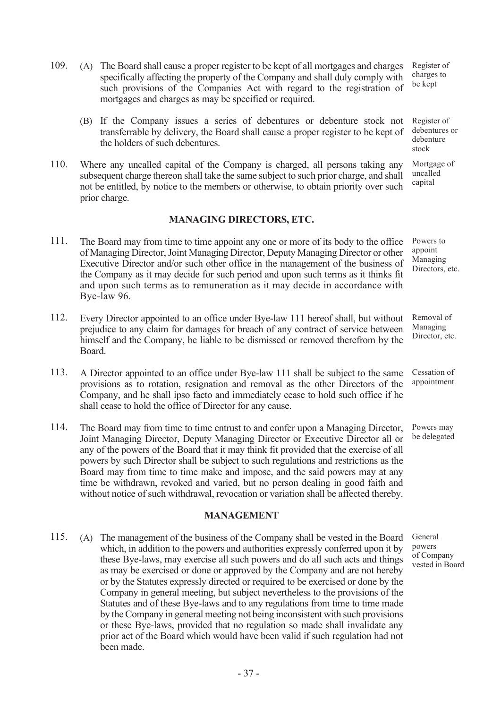109. (A) The Board shall cause a proper register to be kept of all mortgages and charges specifically affecting the property of the Company and shall duly comply with such provisions of the Companies Act with regard to the registration of mortgages and charges as may be specified or required.

- (B) If the Company issues a series of debentures or debenture stock not transferrable by delivery, the Board shall cause a proper register to be kept of the holders of such debentures.
- 110. Where any uncalled capital of the Company is charged, all persons taking any subsequent charge thereon shall take the same subject to such prior charge, and shall not be entitled, by notice to the members or otherwise, to obtain priority over such prior charge.

### MANAGING DIRECTORS, ETC.

- 111. The Board may from time to time appoint any one or more of its body to the office of Managing Director, Joint Managing Director, Deputy Managing Director or other Executive Director and/or such other office in the management of the business of the Company as it may decide for such period and upon such terms as it thinks fit and upon such terms as to remuneration as it may decide in accordance with Bye-law 96. Powers to appoint Managing Directors, etc.
- 112. Every Director appointed to an office under Bye-law 111 hereof shall, but without prejudice to any claim for damages for breach of any contract of service between himself and the Company, be liable to be dismissed or removed therefrom by the Board. Removal of Managing Director, etc.
- 113. A Director appointed to an office under Bye-law 111 shall be subject to the same provisions as to rotation, resignation and removal as the other Directors of the Company, and he shall ipso facto and immediately cease to hold such office if he shall cease to hold the office of Director for any cause.
- 114. The Board may from time to time entrust to and confer upon a Managing Director, Joint Managing Director, Deputy Managing Director or Executive Director all or any of the powers of the Board that it may think fit provided that the exercise of all powers by such Director shall be subject to such regulations and restrictions as the Board may from time to time make and impose, and the said powers may at any time be withdrawn, revoked and varied, but no person dealing in good faith and without notice of such withdrawal, revocation or variation shall be affected thereby.

#### MANAGEMENT

115. (A) The management of the business of the Company shall be vested in the Board which, in addition to the powers and authorities expressly conferred upon it by these Bye-laws, may exercise all such powers and do all such acts and things as may be exercised or done or approved by the Company and are not hereby or by the Statutes expressly directed or required to be exercised or done by the Company in general meeting, but subject nevertheless to the provisions of the Statutes and of these Bye-laws and to any regulations from time to time made by the Company in general meeting not being inconsistent with such provisions or these Bye-laws, provided that no regulation so made shall invalidate any prior act of the Board which would have been valid if such regulation had not been made.

Register of charges to be kept

Register of debentures or debenture stock

Mortgage of uncalled capital

Cessation of

appointment

Powers may be delegated

General powers of Company vested in Board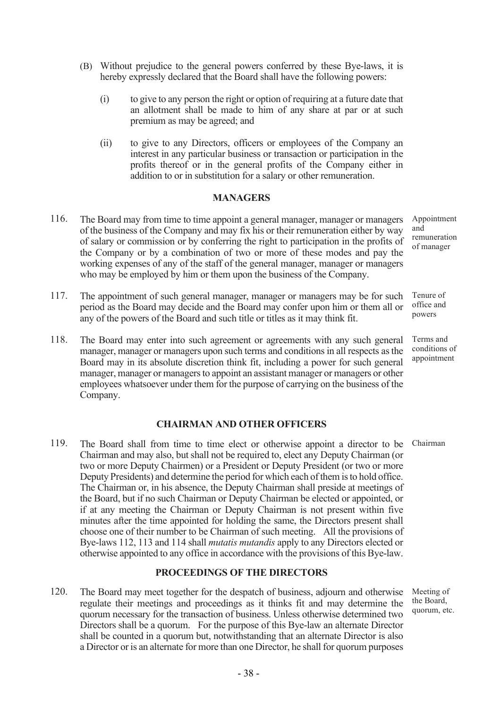- (B) Without prejudice to the general powers conferred by these Bye-laws, it is hereby expressly declared that the Board shall have the following powers:
	- (i) to give to any person the right or option of requiring at a future date that an allotment shall be made to him of any share at par or at such premium as may be agreed; and
	- (ii) to give to any Directors, officers or employees of the Company an interest in any particular business or transaction or participation in the profits thereof or in the general profits of the Company either in addition to or in substitution for a salary or other remuneration.

## **MANAGERS**

- 116. The Board may from time to time appoint a general manager, manager or managers of the business of the Company and may fix his or their remuneration either by way of salary or commission or by conferring the right to participation in the profits of the Company or by a combination of two or more of these modes and pay the working expenses of any of the staff of the general manager, manager or managers who may be employed by him or them upon the business of the Company. and
- 117. The appointment of such general manager, manager or managers may be for such period as the Board may decide and the Board may confer upon him or them all or any of the powers of the Board and such title or titles as it may think fit.
- 118. The Board may enter into such agreement or agreements with any such general manager, manager or managers upon such terms and conditions in all respects as the Board may in its absolute discretion think fit, including a power for such general manager, manager or managers to appoint an assistant manager or managers or other employees whatsoever under them for the purpose of carrying on the business of the Company.

## CHAIRMAN AND OTHER OFFICERS

119. The Board shall from time to time elect or otherwise appoint a director to be Chairman and may also, but shall not be required to, elect any Deputy Chairman (or two or more Deputy Chairmen) or a President or Deputy President (or two or more Deputy Presidents) and determine the period for which each of them is to hold office. The Chairman or, in his absence, the Deputy Chairman shall preside at meetings of the Board, but if no such Chairman or Deputy Chairman be elected or appointed, or if at any meeting the Chairman or Deputy Chairman is not present within five minutes after the time appointed for holding the same, the Directors present shall choose one of their number to be Chairman of such meeting. All the provisions of Bye-laws 112, 113 and 114 shall *mutatis mutandis* apply to any Directors elected or otherwise appointed to any office in accordance with the provisions of this Bye-law. Chairman

## PROCEEDINGS OF THE DIRECTORS

120. The Board may meet together for the despatch of business, adjourn and otherwise regulate their meetings and proceedings as it thinks fit and may determine the quorum necessary for the transaction of business. Unless otherwise determined two Directors shall be a quorum. For the purpose of this Bye-law an alternate Director shall be counted in a quorum but, notwithstanding that an alternate Director is also a Director or is an alternate for more than one Director, he shall for quorum purposes

Meeting of the Board, quorum, etc.

Appointment remuneration of manager

Tenure of office and powers

Terms and conditions of appointment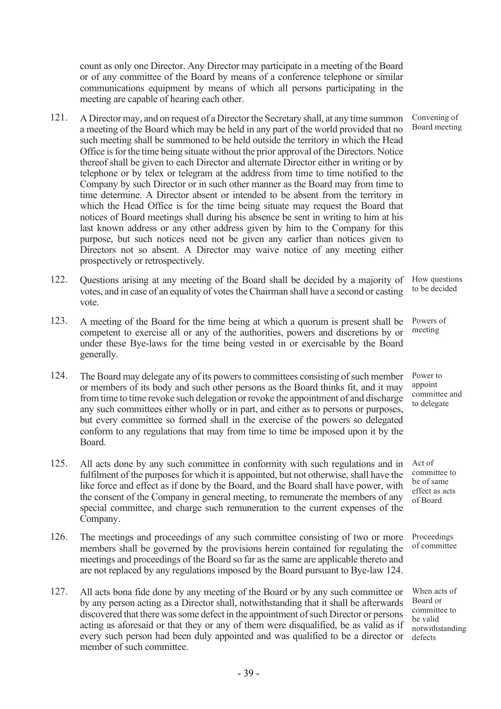count as only one Director. Any Director may participate in a meeting of the Board or of any committee of the Board by means of a conference telephone or similar communications equipment by means of which all persons participating in the meeting are capable of hearing each other.

- 121. A Director may, and on request of a Director the Secretary shall, at any time summon a meeting of the Board which may be held in any part of the world provided that no such meeting shall be summoned to be held outside the territory in which the Head Office is for the time being situate without the prior approval of the Directors. Notice thereof shall be given to each Director and alternate Director either in writing or by telephone or by telex or telegram at the address from time to time notified to the Company by such Director or in such other manner as the Board may from time to time determine. A Director absent or intended to be absent from the territory in which the Head Office is for the time being situate may request the Board that notices of Board meetings shall during his absence be sent in writing to him at his last known address or any other address given by him to the Company for this purpose, but such notices need not be given any earlier than notices given to Directors not so absent. A Director may waive notice of any meeting either prospectively or retrospectively.
- 122. Questions arising at any meeting of the Board shall be decided by a majority of How questions votes, and in case of an equality of votes the Chairman shall have a second or casting vote. to be decided
- 123. A meeting of the Board for the time being at which a quorum is present shall be competent to exercise all or any of the authorities, powers and discretions by or under these Bye-laws for the time being vested in or exercisable by the Board generally.
- 124. The Board may delegate any of its powers to committees consisting of such member or members of its body and such other persons as the Board thinks fit, and it may from time to time revoke such delegation or revoke the appointment of and discharge any such committees either wholly or in part, and either as to persons or purposes, but every committee so formed shall in the exercise of the powers so delegated conform to any regulations that may from time to time be imposed upon it by the Board.
- 125. All acts done by any such committee in conformity with such regulations and in fulfilment of the purposes for which it is appointed, but not otherwise, shall have the like force and effect as if done by the Board, and the Board shall have power, with the consent of the Company in general meeting, to remunerate the members of any special committee, and charge such remuneration to the current expenses of the Company.
- 126. The meetings and proceedings of any such committee consisting of two or more members shall be governed by the provisions herein contained for regulating the meetings and proceedings of the Board so far as the same are applicable thereto and are not replaced by any regulations imposed by the Board pursuant to Bye-law 124.
- 127. All acts bona fide done by any meeting of the Board or by any such committee or by any person acting as a Director shall, notwithstanding that it shall be afterwards discovered that there was some defect in the appointment of such Director or persons acting as aforesaid or that they or any of them were disqualified, be as valid as if every such person had been duly appointed and was qualified to be a director or member of such committee.

When acts of Board or committee to be valid notwithstanding defects

Convening of Board meeting

Powers of meeting

Power to appoint committee and to delegate

Act of committee to be of same effect as acts of Board

Proceedings of committee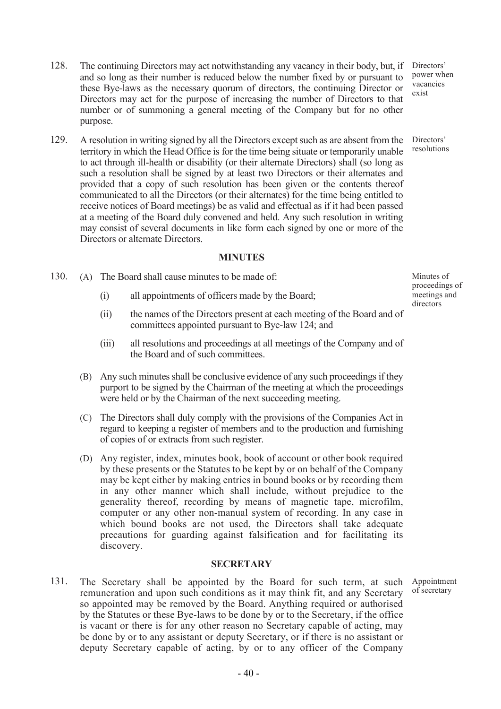- 128. The continuing Directors may act notwithstanding any vacancy in their body, but, if and so long as their number is reduced below the number fixed by or pursuant to these Bye-laws as the necessary quorum of directors, the continuing Director or Directors may act for the purpose of increasing the number of Directors to that number or of summoning a general meeting of the Company but for no other purpose.
- 129. A resolution in writing signed by all the Directors except such as are absent from the territory in which the Head Office is for the time being situate or temporarily unable to act through ill-health or disability (or their alternate Directors) shall (so long as such a resolution shall be signed by at least two Directors or their alternates and provided that a copy of such resolution has been given or the contents thereof communicated to all the Directors (or their alternates) for the time being entitled to receive notices of Board meetings) be as valid and effectual as if it had been passed at a meeting of the Board duly convened and held. Any such resolution in writing may consist of several documents in like form each signed by one or more of the Directors or alternate Directors.

## MINUTES

- 130. (A) The Board shall cause minutes to be made of:
	- (i) all appointments of officers made by the Board;
	- (ii) the names of the Directors present at each meeting of the Board and of committees appointed pursuant to Bye-law 124; and
	- (iii) all resolutions and proceedings at all meetings of the Company and of the Board and of such committees.
	- (B) Any such minutes shall be conclusive evidence of any such proceedings if they purport to be signed by the Chairman of the meeting at which the proceedings were held or by the Chairman of the next succeeding meeting.
	- (C) The Directors shall duly comply with the provisions of the Companies Act in regard to keeping a register of members and to the production and furnishing of copies of or extracts from such register.
	- (D) Any register, index, minutes book, book of account or other book required by these presents or the Statutes to be kept by or on behalf of the Company may be kept either by making entries in bound books or by recording them in any other manner which shall include, without prejudice to the generality thereof, recording by means of magnetic tape, microfilm, computer or any other non-manual system of recording. In any case in which bound books are not used, the Directors shall take adequate precautions for guarding against falsification and for facilitating its discovery.

#### **SECRETARY**

131. The Secretary shall be appointed by the Board for such term, at such remuneration and upon such conditions as it may think fit, and any Secretary so appointed may be removed by the Board. Anything required or authorised by the Statutes or these Bye-laws to be done by or to the Secretary, if the office is vacant or there is for any other reason no Secretary capable of acting, may be done by or to any assistant or deputy Secretary, or if there is no assistant or deputy Secretary capable of acting, by or to any officer of the Company

Minutes of proceedings of meetings and directors

Directors' power when vacancies exist

Directors' resolutions

Appointment of secretary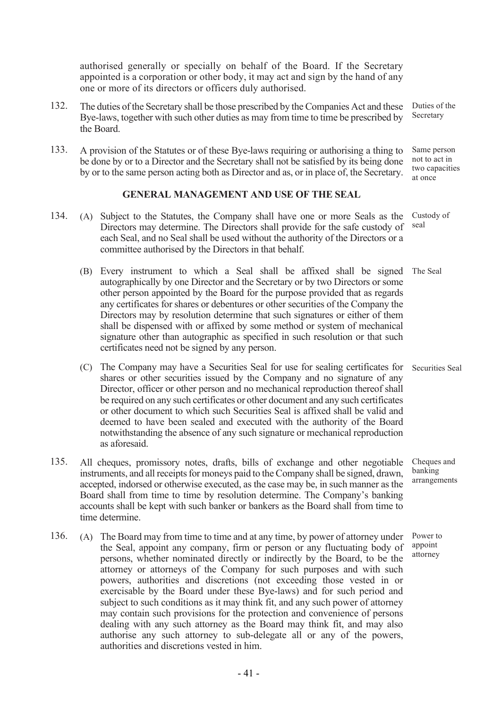authorised generally or specially on behalf of the Board. If the Secretary appointed is a corporation or other body, it may act and sign by the hand of any one or more of its directors or officers duly authorised.

- 132. The duties of the Secretary shall be those prescribed by the Companies Act and these Bye-laws, together with such other duties as may from time to time be prescribed by the Board.
- 133. A provision of the Statutes or of these Bye-laws requiring or authorising a thing to be done by or to a Director and the Secretary shall not be satisfied by its being done by or to the same person acting both as Director and as, or in place of, the Secretary.

### GENERAL MANAGEMENT AND USE OF THE SEAL

- 134. (A) Subject to the Statutes, the Company shall have one or more Seals as the Directors may determine. The Directors shall provide for the safe custody of each Seal, and no Seal shall be used without the authority of the Directors or a committee authorised by the Directors in that behalf. seal
	- (B) Every instrument to which a Seal shall be affixed shall be signed The Seal autographically by one Director and the Secretary or by two Directors or some other person appointed by the Board for the purpose provided that as regards any certificates for shares or debentures or other securities of the Company the Directors may by resolution determine that such signatures or either of them shall be dispensed with or affixed by some method or system of mechanical signature other than autographic as specified in such resolution or that such certificates need not be signed by any person.
	- (C) The Company may have a Securities Seal for use for sealing certificates for shares or other securities issued by the Company and no signature of any Director, officer or other person and no mechanical reproduction thereof shall be required on any such certificates or other document and any such certificates or other document to which such Securities Seal is affixed shall be valid and deemed to have been sealed and executed with the authority of the Board notwithstanding the absence of any such signature or mechanical reproduction as aforesaid. Securities Seal
- 135. All cheques, promissory notes, drafts, bills of exchange and other negotiable instruments, and all receipts for moneys paid to the Company shall be signed, drawn, accepted, indorsed or otherwise executed, as the case may be, in such manner as the Board shall from time to time by resolution determine. The Company's banking accounts shall be kept with such banker or bankers as the Board shall from time to time determine.
- 136. (A) The Board may from time to time and at any time, by power of attorney under the Seal, appoint any company, firm or person or any fluctuating body of persons, whether nominated directly or indirectly by the Board, to be the attorney or attorneys of the Company for such purposes and with such powers, authorities and discretions (not exceeding those vested in or exercisable by the Board under these Bye-laws) and for such period and subject to such conditions as it may think fit, and any such power of attorney may contain such provisions for the protection and convenience of persons dealing with any such attorney as the Board may think fit, and may also authorise any such attorney to sub-delegate all or any of the powers, authorities and discretions vested in him.

Duties of the Secretary

Same person not to act in two capacities at once

Custody of

Cheques and banking arrangements

Power to appoint attorney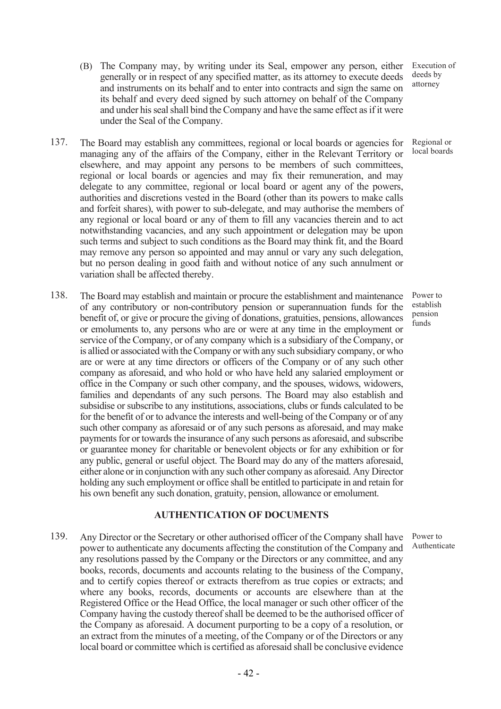- (B) The Company may, by writing under its Seal, empower any person, either generally or in respect of any specified matter, as its attorney to execute deeds and instruments on its behalf and to enter into contracts and sign the same on its behalf and every deed signed by such attorney on behalf of the Company and under his seal shall bind the Company and have the same effect as if it were under the Seal of the Company.
- 137. The Board may establish any committees, regional or local boards or agencies for managing any of the affairs of the Company, either in the Relevant Territory or elsewhere, and may appoint any persons to be members of such committees, regional or local boards or agencies and may fix their remuneration, and may delegate to any committee, regional or local board or agent any of the powers, authorities and discretions vested in the Board (other than its powers to make calls and forfeit shares), with power to sub-delegate, and may authorise the members of any regional or local board or any of them to fill any vacancies therein and to act notwithstanding vacancies, and any such appointment or delegation may be upon such terms and subject to such conditions as the Board may think fit, and the Board may remove any person so appointed and may annul or vary any such delegation, but no person dealing in good faith and without notice of any such annulment or variation shall be affected thereby.
- 138. The Board may establish and maintain or procure the establishment and maintenance of any contributory or non-contributory pension or superannuation funds for the benefit of, or give or procure the giving of donations, gratuities, pensions, allowances or emoluments to, any persons who are or were at any time in the employment or service of the Company, or of any company which is a subsidiary of the Company, or is allied or associated with the Company or with any such subsidiary company, or who are or were at any time directors or officers of the Company or of any such other company as aforesaid, and who hold or who have held any salaried employment or office in the Company or such other company, and the spouses, widows, widowers, families and dependants of any such persons. The Board may also establish and subsidise or subscribe to any institutions, associations, clubs or funds calculated to be for the benefit of or to advance the interests and well-being of the Company or of any such other company as aforesaid or of any such persons as aforesaid, and may make payments for or towards the insurance of any such persons as aforesaid, and subscribe or guarantee money for charitable or benevolent objects or for any exhibition or for any public, general or useful object. The Board may do any of the matters aforesaid, either alone or in conjunction with any such other company as aforesaid. Any Director holding any such employment or office shall be entitled to participate in and retain for his own benefit any such donation, gratuity, pension, allowance or emolument.

## AUTHENTICATION OF DOCUMENTS

139. Any Director or the Secretary or other authorised officer of the Company shall have power to authenticate any documents affecting the constitution of the Company and any resolutions passed by the Company or the Directors or any committee, and any books, records, documents and accounts relating to the business of the Company, and to certify copies thereof or extracts therefrom as true copies or extracts; and where any books, records, documents or accounts are elsewhere than at the Registered Office or the Head Office, the local manager or such other officer of the Company having the custody thereof shall be deemed to be the authorised officer of the Company as aforesaid. A document purporting to be a copy of a resolution, or an extract from the minutes of a meeting, of the Company or of the Directors or any local board or committee which is certified as aforesaid shall be conclusive evidence

Execution of deeds by attorney

Regional or local boards

Power to establish pension .<br>funds

Power to Authenticate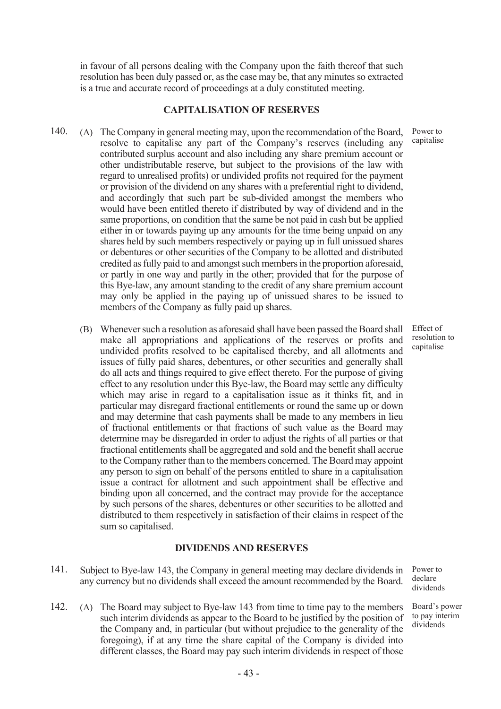in favour of all persons dealing with the Company upon the faith thereof that such resolution has been duly passed or, as the case may be, that any minutes so extracted is a true and accurate record of proceedings at a duly constituted meeting.

### CAPITALISATION OF RESERVES

- 140. (A) The Company in general meeting may, upon the recommendation of the Board, resolve to capitalise any part of the Company's reserves (including any contributed surplus account and also including any share premium account or other undistributable reserve, but subject to the provisions of the law with regard to unrealised profits) or undivided profits not required for the payment or provision of the dividend on any shares with a preferential right to dividend, and accordingly that such part be sub-divided amongst the members who would have been entitled thereto if distributed by way of dividend and in the same proportions, on condition that the same be not paid in cash but be applied either in or towards paying up any amounts for the time being unpaid on any shares held by such members respectively or paying up in full unissued shares or debentures or other securities of the Company to be allotted and distributed credited as fully paid to and amongst such members in the proportion aforesaid, or partly in one way and partly in the other; provided that for the purpose of this Bye-law, any amount standing to the credit of any share premium account may only be applied in the paying up of unissued shares to be issued to members of the Company as fully paid up shares.
	- (B) Whenever such a resolution as aforesaid shall have been passed the Board shall make all appropriations and applications of the reserves or profits and undivided profits resolved to be capitalised thereby, and all allotments and issues of fully paid shares, debentures, or other securities and generally shall do all acts and things required to give effect thereto. For the purpose of giving effect to any resolution under this Bye-law, the Board may settle any difficulty which may arise in regard to a capitalisation issue as it thinks fit, and in particular may disregard fractional entitlements or round the same up or down and may determine that cash payments shall be made to any members in lieu of fractional entitlements or that fractions of such value as the Board may determine may be disregarded in order to adjust the rights of all parties or that fractional entitlements shall be aggregated and sold and the benefit shall accrue to the Company rather than to the members concerned. The Board may appoint any person to sign on behalf of the persons entitled to share in a capitalisation issue a contract for allotment and such appointment shall be effective and binding upon all concerned, and the contract may provide for the acceptance by such persons of the shares, debentures or other securities to be allotted and distributed to them respectively in satisfaction of their claims in respect of the sum so capitalised.

### DIVIDENDS AND RESERVES

- 141. Subject to Bye-law 143, the Company in general meeting may declare dividends in any currency but no dividends shall exceed the amount recommended by the Board.
- 142. (A) The Board may subject to Bye-law 143 from time to time pay to the members such interim dividends as appear to the Board to be justified by the position of the Company and, in particular (but without prejudice to the generality of the foregoing), if at any time the share capital of the Company is divided into different classes, the Board may pay such interim dividends in respect of those

Power to capitalise

Effect of resolution to capitalise

Power to declare dividends

Board's power to pay interim dividends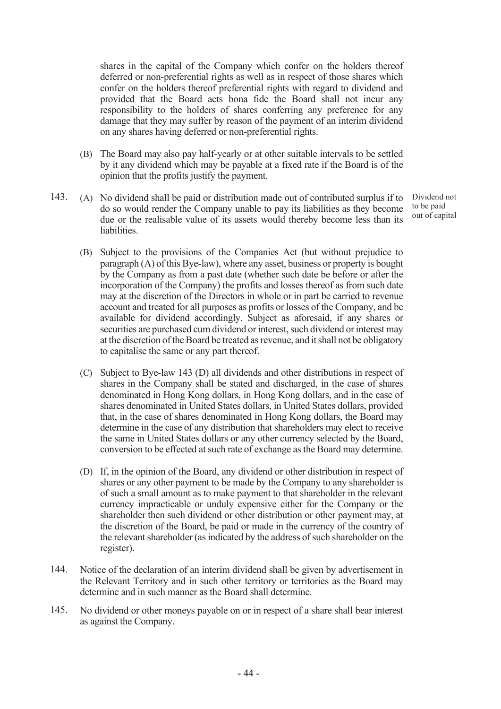shares in the capital of the Company which confer on the holders thereof deferred or non-preferential rights as well as in respect of those shares which confer on the holders thereof preferential rights with regard to dividend and provided that the Board acts bona fide the Board shall not incur any responsibility to the holders of shares conferring any preference for any damage that they may suffer by reason of the payment of an interim dividend on any shares having deferred or non-preferential rights.

- (B) The Board may also pay half-yearly or at other suitable intervals to be settled by it any dividend which may be payable at a fixed rate if the Board is of the opinion that the profits justify the payment.
- 143. (A) No dividend shall be paid or distribution made out of contributed surplus if to do so would render the Company unable to pay its liabilities as they become due or the realisable value of its assets would thereby become less than its liabilities.

Dividend not to be paid out of capital

- (B) Subject to the provisions of the Companies Act (but without prejudice to paragraph (A) of this Bye-law), where any asset, business or property is bought by the Company as from a past date (whether such date be before or after the incorporation of the Company) the profits and losses thereof as from such date may at the discretion of the Directors in whole or in part be carried to revenue account and treated for all purposes as profits or losses of the Company, and be available for dividend accordingly. Subject as aforesaid, if any shares or securities are purchased cum dividend or interest, such dividend or interest may at the discretion of the Board be treated as revenue, and it shall not be obligatory to capitalise the same or any part thereof.
- (C) Subject to Bye-law 143 (D) all dividends and other distributions in respect of shares in the Company shall be stated and discharged, in the case of shares denominated in Hong Kong dollars, in Hong Kong dollars, and in the case of shares denominated in United States dollars, in United States dollars, provided that, in the case of shares denominated in Hong Kong dollars, the Board may determine in the case of any distribution that shareholders may elect to receive the same in United States dollars or any other currency selected by the Board, conversion to be effected at such rate of exchange as the Board may determine.
- (D) If, in the opinion of the Board, any dividend or other distribution in respect of shares or any other payment to be made by the Company to any shareholder is of such a small amount as to make payment to that shareholder in the relevant currency impracticable or unduly expensive either for the Company or the shareholder then such dividend or other distribution or other payment may, at the discretion of the Board, be paid or made in the currency of the country of the relevant shareholder (as indicated by the address of such shareholder on the register).
- 144. Notice of the declaration of an interim dividend shall be given by advertisement in the Relevant Territory and in such other territory or territories as the Board may determine and in such manner as the Board shall determine.
- 145. No dividend or other moneys payable on or in respect of a share shall bear interest as against the Company.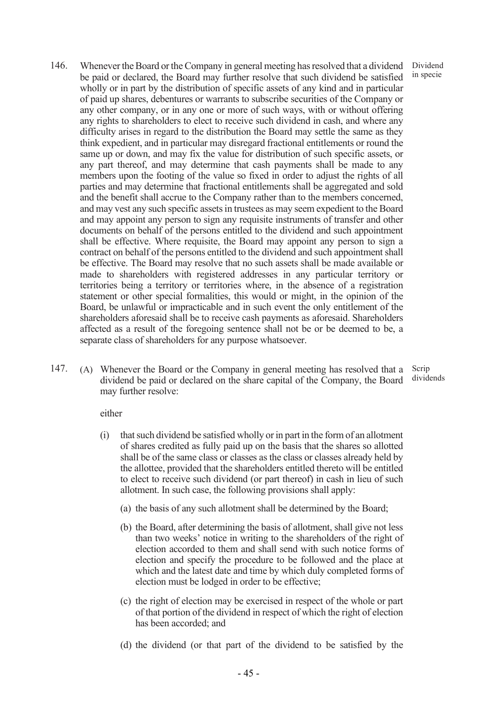146. Whenever the Board or the Company in general meeting has resolved that a dividend be paid or declared, the Board may further resolve that such dividend be satisfied wholly or in part by the distribution of specific assets of any kind and in particular of paid up shares, debentures or warrants to subscribe securities of the Company or any other company, or in any one or more of such ways, with or without offering any rights to shareholders to elect to receive such dividend in cash, and where any difficulty arises in regard to the distribution the Board may settle the same as they think expedient, and in particular may disregard fractional entitlements or round the same up or down, and may fix the value for distribution of such specific assets, or any part thereof, and may determine that cash payments shall be made to any members upon the footing of the value so fixed in order to adjust the rights of all parties and may determine that fractional entitlements shall be aggregated and sold and the benefit shall accrue to the Company rather than to the members concerned, and may vest any such specific assets in trustees as may seem expedient to the Board and may appoint any person to sign any requisite instruments of transfer and other documents on behalf of the persons entitled to the dividend and such appointment shall be effective. Where requisite, the Board may appoint any person to sign a contract on behalf of the persons entitled to the dividend and such appointment shall be effective. The Board may resolve that no such assets shall be made available or made to shareholders with registered addresses in any particular territory or territories being a territory or territories where, in the absence of a registration statement or other special formalities, this would or might, in the opinion of the Board, be unlawful or impracticable and in such event the only entitlement of the shareholders aforesaid shall be to receive cash payments as aforesaid. Shareholders affected as a result of the foregoing sentence shall not be or be deemed to be, a separate class of shareholders for any purpose whatsoever.

Dividend in specie

147. (A) Whenever the Board or the Company in general meeting has resolved that a dividend be paid or declared on the share capital of the Company, the Board may further resolve: Scrip dividends

either

- (i) that such dividend be satisfied wholly or in part in the form of an allotment of shares credited as fully paid up on the basis that the shares so allotted shall be of the same class or classes as the class or classes already held by the allottee, provided that the shareholders entitled thereto will be entitled to elect to receive such dividend (or part thereof) in cash in lieu of such allotment. In such case, the following provisions shall apply:
	- (a) the basis of any such allotment shall be determined by the Board;
	- (b) the Board, after determining the basis of allotment, shall give not less than two weeks' notice in writing to the shareholders of the right of election accorded to them and shall send with such notice forms of election and specify the procedure to be followed and the place at which and the latest date and time by which duly completed forms of election must be lodged in order to be effective;
	- (c) the right of election may be exercised in respect of the whole or part of that portion of the dividend in respect of which the right of election has been accorded; and
	- (d) the dividend (or that part of the dividend to be satisfied by the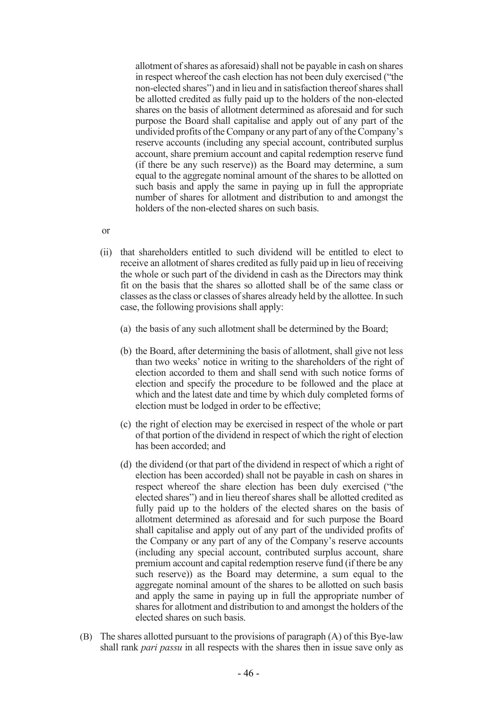allotment of shares as aforesaid) shall not be payable in cash on shares in respect whereof the cash election has not been duly exercised ("the non-elected shares") and in lieu and in satisfaction thereof shares shall be allotted credited as fully paid up to the holders of the non-elected shares on the basis of allotment determined as aforesaid and for such purpose the Board shall capitalise and apply out of any part of the undivided profits of the Company or any part of any of the Company's reserve accounts (including any special account, contributed surplus account, share premium account and capital redemption reserve fund (if there be any such reserve)) as the Board may determine, a sum equal to the aggregate nominal amount of the shares to be allotted on such basis and apply the same in paying up in full the appropriate number of shares for allotment and distribution to and amongst the holders of the non-elected shares on such basis.

- or
- (ii) that shareholders entitled to such dividend will be entitled to elect to receive an allotment of shares credited as fully paid up in lieu of receiving the whole or such part of the dividend in cash as the Directors may think fit on the basis that the shares so allotted shall be of the same class or classes as the class or classes of shares already held by the allottee. In such case, the following provisions shall apply:
	- (a) the basis of any such allotment shall be determined by the Board;
	- (b) the Board, after determining the basis of allotment, shall give not less than two weeks' notice in writing to the shareholders of the right of election accorded to them and shall send with such notice forms of election and specify the procedure to be followed and the place at which and the latest date and time by which duly completed forms of election must be lodged in order to be effective;
	- (c) the right of election may be exercised in respect of the whole or part of that portion of the dividend in respect of which the right of election has been accorded; and
	- (d) the dividend (or that part of the dividend in respect of which a right of election has been accorded) shall not be payable in cash on shares in respect whereof the share election has been duly exercised ("the elected shares") and in lieu thereof shares shall be allotted credited as fully paid up to the holders of the elected shares on the basis of allotment determined as aforesaid and for such purpose the Board shall capitalise and apply out of any part of the undivided profits of the Company or any part of any of the Company's reserve accounts (including any special account, contributed surplus account, share premium account and capital redemption reserve fund (if there be any such reserve)) as the Board may determine, a sum equal to the aggregate nominal amount of the shares to be allotted on such basis and apply the same in paying up in full the appropriate number of shares for allotment and distribution to and amongst the holders of the elected shares on such basis.
- (B) The shares allotted pursuant to the provisions of paragraph (A) of this Bye-law shall rank *pari passu* in all respects with the shares then in issue save only as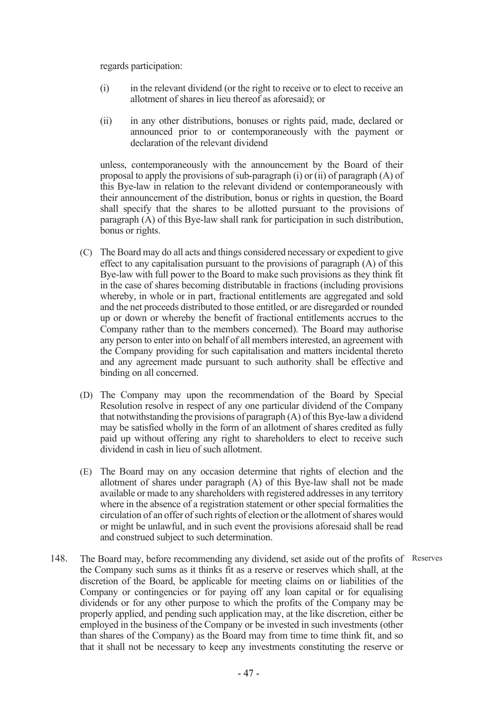regards participation:

- (i) in the relevant dividend (or the right to receive or to elect to receive an allotment of shares in lieu thereof as aforesaid); or
- (ii) in any other distributions, bonuses or rights paid, made, declared or announced prior to or contemporaneously with the payment or declaration of the relevant dividend

unless, contemporaneously with the announcement by the Board of their proposal to apply the provisions of sub-paragraph (i) or (ii) of paragraph (A) of this Bye-law in relation to the relevant dividend or contemporaneously with their announcement of the distribution, bonus or rights in question, the Board shall specify that the shares to be allotted pursuant to the provisions of paragraph (A) of this Bye-law shall rank for participation in such distribution, bonus or rights.

- (C) The Board may do all acts and things considered necessary or expedient to give effect to any capitalisation pursuant to the provisions of paragraph (A) of this Bye-law with full power to the Board to make such provisions as they think fit in the case of shares becoming distributable in fractions (including provisions whereby, in whole or in part, fractional entitlements are aggregated and sold and the net proceeds distributed to those entitled, or are disregarded or rounded up or down or whereby the benefit of fractional entitlements accrues to the Company rather than to the members concerned). The Board may authorise any person to enter into on behalf of all members interested, an agreement with the Company providing for such capitalisation and matters incidental thereto and any agreement made pursuant to such authority shall be effective and binding on all concerned.
- (D) The Company may upon the recommendation of the Board by Special Resolution resolve in respect of any one particular dividend of the Company that notwithstanding the provisions of paragraph (A) of this Bye-law a dividend may be satisfied wholly in the form of an allotment of shares credited as fully paid up without offering any right to shareholders to elect to receive such dividend in cash in lieu of such allotment.
- (E) The Board may on any occasion determine that rights of election and the allotment of shares under paragraph (A) of this Bye-law shall not be made available or made to any shareholders with registered addresses in any territory where in the absence of a registration statement or other special formalities the circulation of an offer of such rights of election or the allotment of shares would or might be unlawful, and in such event the provisions aforesaid shall be read and construed subject to such determination.
- 148. The Board may, before recommending any dividend, set aside out of the profits of Reservesthe Company such sums as it thinks fit as a reserve or reserves which shall, at the discretion of the Board, be applicable for meeting claims on or liabilities of the Company or contingencies or for paying off any loan capital or for equalising dividends or for any other purpose to which the profits of the Company may be properly applied, and pending such application may, at the like discretion, either be employed in the business of the Company or be invested in such investments (other than shares of the Company) as the Board may from time to time think fit, and so that it shall not be necessary to keep any investments constituting the reserve or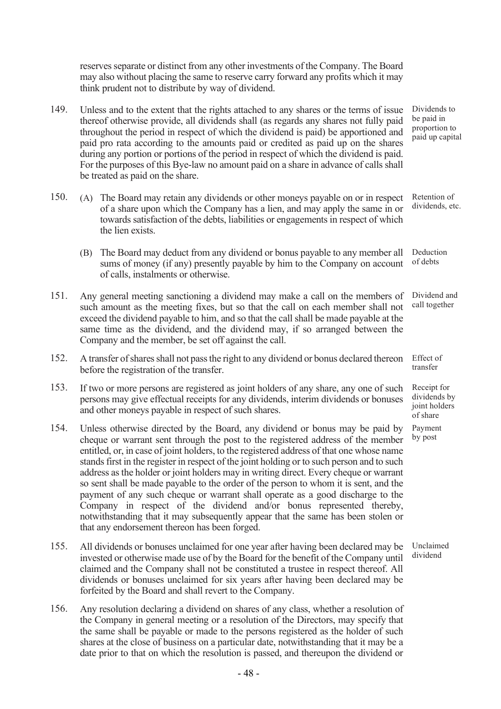reserves separate or distinct from any other investments of the Company. The Board may also without placing the same to reserve carry forward any profits which it may think prudent not to distribute by way of dividend.

- 149. Unless and to the extent that the rights attached to any shares or the terms of issue thereof otherwise provide, all dividends shall (as regards any shares not fully paid throughout the period in respect of which the dividend is paid) be apportioned and paid pro rata according to the amounts paid or credited as paid up on the shares during any portion or portions of the period in respect of which the dividend is paid. For the purposes of this Bye-law no amount paid on a share in advance of calls shall be treated as paid on the share.
- 150. (A) The Board may retain any dividends or other moneys payable on or in respect of a share upon which the Company has a lien, and may apply the same in or towards satisfaction of the debts, liabilities or engagements in respect of which the lien exists.
	- (B) The Board may deduct from any dividend or bonus payable to any member all sums of money (if any) presently payable by him to the Company on account of calls, instalments or otherwise.
- 151. Any general meeting sanctioning a dividend may make a call on the members of such amount as the meeting fixes, but so that the call on each member shall not exceed the dividend payable to him, and so that the call shall be made payable at the same time as the dividend, and the dividend may, if so arranged between the Company and the member, be set off against the call.
- 152. A transfer of shares shall not pass the right to any dividend or bonus declared thereon before the registration of the transfer.
- 153. If two or more persons are registered as joint holders of any share, any one of such persons may give effectual receipts for any dividends, interim dividends or bonuses and other moneys payable in respect of such shares.
- 154. Unless otherwise directed by the Board, any dividend or bonus may be paid by cheque or warrant sent through the post to the registered address of the member entitled, or, in case of joint holders, to the registered address of that one whose name stands first in the register in respect of the joint holding or to such person and to such address as the holder or joint holders may in writing direct. Every cheque or warrant so sent shall be made payable to the order of the person to whom it is sent, and the payment of any such cheque or warrant shall operate as a good discharge to the Company in respect of the dividend and/or bonus represented thereby, notwithstanding that it may subsequently appear that the same has been stolen or that any endorsement thereon has been forged.
- 155. All dividends or bonuses unclaimed for one year after having been declared may be invested or otherwise made use of by the Board for the benefit of the Company until claimed and the Company shall not be constituted a trustee in respect thereof. All dividends or bonuses unclaimed for six years after having been declared may be forfeited by the Board and shall revert to the Company.
- 156. Any resolution declaring a dividend on shares of any class, whether a resolution of the Company in general meeting or a resolution of the Directors, may specify that the same shall be payable or made to the persons registered as the holder of such shares at the close of business on a particular date, notwithstanding that it may be a date prior to that on which the resolution is passed, and thereupon the dividend or

Dividends to be paid in proportion to paid up capital

Retention of dividends, etc.

Deduction of debts

Dividend and call together

Effect of transfer

Receipt for dividends by joint holders of share Payment

by post

Unclaimed dividend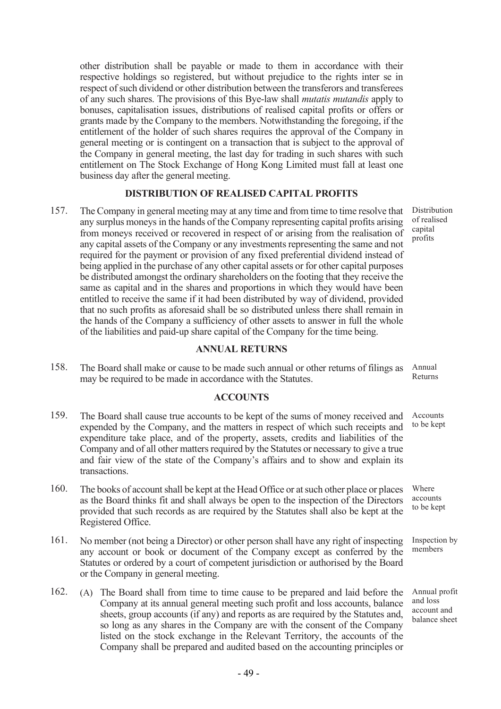other distribution shall be payable or made to them in accordance with their respective holdings so registered, but without prejudice to the rights inter se in respect of such dividend or other distribution between the transferors and transferees of any such shares. The provisions of this Bye-law shall mutatis mutandis apply to bonuses, capitalisation issues, distributions of realised capital profits or offers or grants made by the Company to the members. Notwithstanding the foregoing, if the entitlement of the holder of such shares requires the approval of the Company in general meeting or is contingent on a transaction that is subject to the approval of the Company in general meeting, the last day for trading in such shares with such entitlement on The Stock Exchange of Hong Kong Limited must fall at least one business day after the general meeting.

## DISTRIBUTION OF REALISED CAPITAL PROFITS

157. The Company in general meeting may at any time and from time to time resolve that any surplus moneys in the hands of the Company representing capital profits arising from moneys received or recovered in respect of or arising from the realisation of any capital assets of the Company or any investments representing the same and not required for the payment or provision of any fixed preferential dividend instead of being applied in the purchase of any other capital assets or for other capital purposes be distributed amongst the ordinary shareholders on the footing that they receive the same as capital and in the shares and proportions in which they would have been entitled to receive the same if it had been distributed by way of dividend, provided that no such profits as aforesaid shall be so distributed unless there shall remain in the hands of the Company a sufficiency of other assets to answer in full the whole of the liabilities and paid-up share capital of the Company for the time being.

#### ANNUAL RETURNS

158. The Board shall make or cause to be made such annual or other returns of filings as may be required to be made in accordance with the Statutes. Annual Returns

#### ACCOUNTS

- 159. The Board shall cause true accounts to be kept of the sums of money received and expended by the Company, and the matters in respect of which such receipts and expenditure take place, and of the property, assets, credits and liabilities of the Company and of all other matters required by the Statutes or necessary to give a true and fair view of the state of the Company's affairs and to show and explain its transactions. Accounts to be kept
- 160. The books of account shall be kept at the Head Office or at such other place or places as the Board thinks fit and shall always be open to the inspection of the Directors provided that such records as are required by the Statutes shall also be kept at the Registered Office.
- 161. No member (not being a Director) or other person shall have any right of inspecting any account or book or document of the Company except as conferred by the Statutes or ordered by a court of competent jurisdiction or authorised by the Board or the Company in general meeting.
- 162. (A) The Board shall from time to time cause to be prepared and laid before the Company at its annual general meeting such profit and loss accounts, balance sheets, group accounts (if any) and reports as are required by the Statutes and, so long as any shares in the Company are with the consent of the Company listed on the stock exchange in the Relevant Territory, the accounts of the Company shall be prepared and audited based on the accounting principles or

Distribution of realised capital profits

Where accounts to be kept

Inspection by members

Annual profit and loss account and balance sheet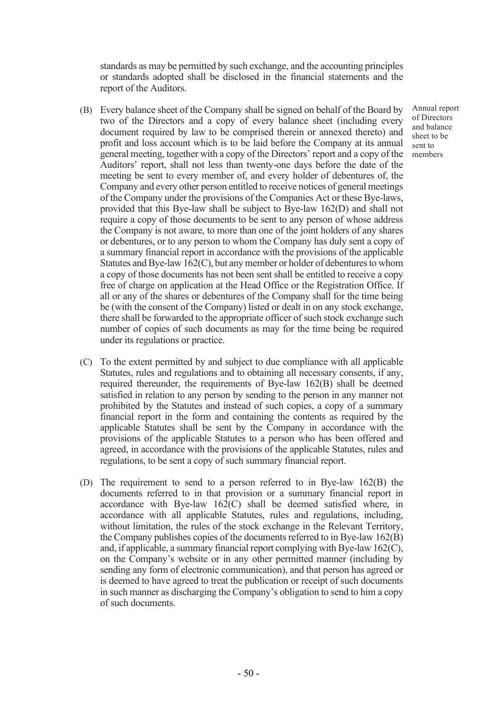standards as may be permitted by such exchange, and the accounting principles or standards adopted shall be disclosed in the financial statements and the report of the Auditors.

- (B) Every balance sheet of the Company shall be signed on behalf of the Board by two of the Directors and a copy of every balance sheet (including every document required by law to be comprised therein or annexed thereto) and profit and loss account which is to be laid before the Company at its annual general meeting, together with a copy of the Directors' report and a copy of the Auditors' report, shall not less than twenty-one days before the date of the meeting be sent to every member of, and every holder of debentures of, the Company and every other person entitled to receive notices of general meetings of the Company under the provisions of the Companies Act or these Bye-laws, provided that this Bye-law shall be subject to Bye-law 162(D) and shall not require a copy of those documents to be sent to any person of whose address the Company is not aware, to more than one of the joint holders of any shares or debentures, or to any person to whom the Company has duly sent a copy of a summary financial report in accordance with the provisions of the applicable Statutes and Bye-law 162(C), but any member or holder of debentures to whom a copy of those documents has not been sent shall be entitled to receive a copy free of charge on application at the Head Office or the Registration Office. If all or any of the shares or debentures of the Company shall for the time being be (with the consent of the Company) listed or dealt in on any stock exchange, there shall be forwarded to the appropriate officer of such stock exchange such number of copies of such documents as may for the time being be required under its regulations or practice.
- (C) To the extent permitted by and subject to due compliance with all applicable Statutes, rules and regulations and to obtaining all necessary consents, if any, required thereunder, the requirements of Bye-law 162(B) shall be deemed satisfied in relation to any person by sending to the person in any manner not prohibited by the Statutes and instead of such copies, a copy of a summary financial report in the form and containing the contents as required by the applicable Statutes shall be sent by the Company in accordance with the provisions of the applicable Statutes to a person who has been offered and agreed, in accordance with the provisions of the applicable Statutes, rules and regulations, to be sent a copy of such summary financial report.
- (D) The requirement to send to a person referred to in Bye-law 162(B) the documents referred to in that provision or a summary financial report in accordance with Bye-law 162(C) shall be deemed satisfied where, in accordance with all applicable Statutes, rules and regulations, including, without limitation, the rules of the stock exchange in the Relevant Territory, the Company publishes copies of the documents referred to in Bye-law 162(B) and, if applicable, a summary financial report complying with Bye-law 162(C), on the Company's website or in any other permitted manner (including by sending any form of electronic communication), and that person has agreed or is deemed to have agreed to treat the publication or receipt of such documents in such manner as discharging the Company's obligation to send to him a copy of such documents.

Annual report of Directors and balance sheet to be sent to members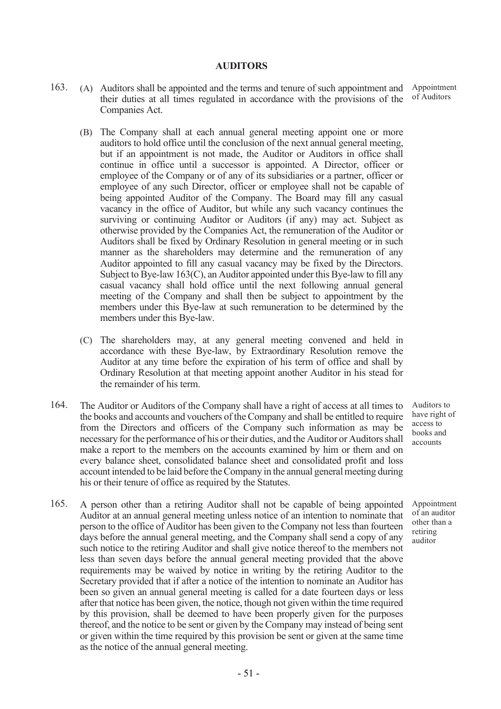#### AUDITORS

- 163. (A) Auditors shall be appointed and the terms and tenure of such appointment and their duties at all times regulated in accordance with the provisions of the Companies Act. Appointment of Auditors
	- (B) The Company shall at each annual general meeting appoint one or more auditors to hold office until the conclusion of the next annual general meeting, but if an appointment is not made, the Auditor or Auditors in office shall continue in office until a successor is appointed. A Director, officer or employee of the Company or of any of its subsidiaries or a partner, officer or employee of any such Director, officer or employee shall not be capable of being appointed Auditor of the Company. The Board may fill any casual vacancy in the office of Auditor, but while any such vacancy continues the surviving or continuing Auditor or Auditors (if any) may act. Subject as otherwise provided by the Companies Act, the remuneration of the Auditor or Auditors shall be fixed by Ordinary Resolution in general meeting or in such manner as the shareholders may determine and the remuneration of any Auditor appointed to fill any casual vacancy may be fixed by the Directors. Subject to Bye-law 163(C), an Auditor appointed under this Bye-law to fill any casual vacancy shall hold office until the next following annual general meeting of the Company and shall then be subject to appointment by the members under this Bye-law at such remuneration to be determined by the members under this Bye-law.
	- (C) The shareholders may, at any general meeting convened and held in accordance with these Bye-law, by Extraordinary Resolution remove the Auditor at any time before the expiration of his term of office and shall by Ordinary Resolution at that meeting appoint another Auditor in his stead for the remainder of his term.
- 164. The Auditor or Auditors of the Company shall have a right of access at all times to the books and accounts and vouchers of the Company and shall be entitled to require from the Directors and officers of the Company such information as may be necessary for the performance of his or their duties, and the Auditor or Auditors shall make a report to the members on the accounts examined by him or them and on every balance sheet, consolidated balance sheet and consolidated profit and loss account intended to be laid before the Company in the annual general meeting during his or their tenure of office as required by the Statutes.
- 165. A person other than a retiring Auditor shall not be capable of being appointed Auditor at an annual general meeting unless notice of an intention to nominate that person to the office of Auditor has been given to the Company not less than fourteen days before the annual general meeting, and the Company shall send a copy of any such notice to the retiring Auditor and shall give notice thereof to the members not less than seven days before the annual general meeting provided that the above requirements may be waived by notice in writing by the retiring Auditor to the Secretary provided that if after a notice of the intention to nominate an Auditor has been so given an annual general meeting is called for a date fourteen days or less after that notice has been given, the notice, though not given within the time required by this provision, shall be deemed to have been properly given for the purposes thereof, and the notice to be sent or given by the Company may instead of being sent or given within the time required by this provision be sent or given at the same time as the notice of the annual general meeting.

Auditors to have right of access to books and accounts

Appointment of an auditor other than a retiring auditor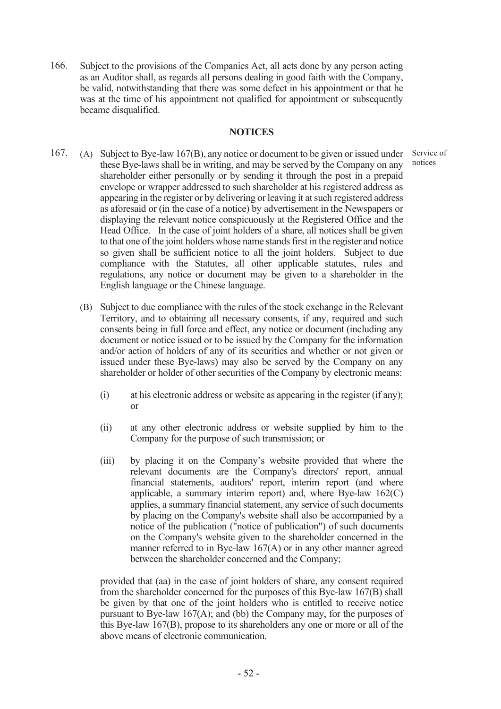166. Subject to the provisions of the Companies Act, all acts done by any person acting as an Auditor shall, as regards all persons dealing in good faith with the Company, be valid, notwithstanding that there was some defect in his appointment or that he was at the time of his appointment not qualified for appointment or subsequently became disqualified.

#### **NOTICES**

Service of notices

- 167. (A) Subject to Bye-law 167(B), any notice or document to be given or issued under these Bye-laws shall be in writing, and may be served by the Company on any shareholder either personally or by sending it through the post in a prepaid envelope or wrapper addressed to such shareholder at his registered address as appearing in the register or by delivering or leaving it at such registered address as aforesaid or (in the case of a notice) by advertisement in the Newspapers or displaying the relevant notice conspicuously at the Registered Office and the Head Office. In the case of joint holders of a share, all notices shall be given to that one of the joint holders whose name stands first in the register and notice so given shall be sufficient notice to all the joint holders. Subject to due compliance with the Statutes, all other applicable statutes, rules and regulations, any notice or document may be given to a shareholder in the English language or the Chinese language.
	- (B) Subject to due compliance with the rules of the stock exchange in the Relevant Territory, and to obtaining all necessary consents, if any, required and such consents being in full force and effect, any notice or document (including any document or notice issued or to be issued by the Company for the information and/or action of holders of any of its securities and whether or not given or issued under these Bye-laws) may also be served by the Company on any shareholder or holder of other securities of the Company by electronic means:
		- (i) at his electronic address or website as appearing in the register (if any); or
		- (ii) at any other electronic address or website supplied by him to the Company for the purpose of such transmission; or
		- (iii) by placing it on the Company's website provided that where the relevant documents are the Company's directors' report, annual financial statements, auditors' report, interim report (and where applicable, a summary interim report) and, where Bye-law 162(C) applies, a summary financial statement, any service of such documents by placing on the Company's website shall also be accompanied by a notice of the publication ("notice of publication") of such documents on the Company's website given to the shareholder concerned in the manner referred to in Bye-law 167(A) or in any other manner agreed between the shareholder concerned and the Company;

provided that (aa) in the case of joint holders of share, any consent required from the shareholder concerned for the purposes of this Bye-law 167(B) shall be given by that one of the joint holders who is entitled to receive notice pursuant to Bye-law 167(A); and (bb) the Company may, for the purposes of this Bye-law 167(B), propose to its shareholders any one or more or all of the above means of electronic communication.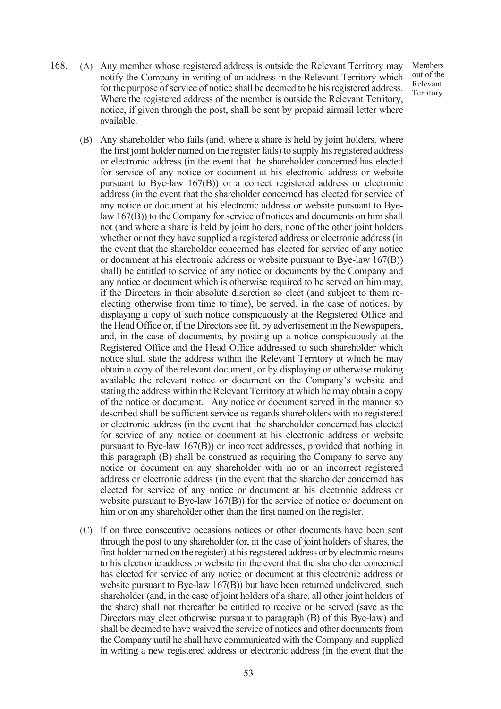168. (A) Any member whose registered address is outside the Relevant Territory may notify the Company in writing of an address in the Relevant Territory which for the purpose of service of notice shall be deemed to be his registered address. Where the registered address of the member is outside the Relevant Territory, notice, if given through the post, shall be sent by prepaid airmail letter where available.

Members out of the Relevant Territory

- (B) Any shareholder who fails (and, where a share is held by joint holders, where the first joint holder named on the register fails) to supply his registered address or electronic address (in the event that the shareholder concerned has elected for service of any notice or document at his electronic address or website pursuant to Bye-law 167(B)) or a correct registered address or electronic address (in the event that the shareholder concerned has elected for service of any notice or document at his electronic address or website pursuant to Byelaw 167(B)) to the Company for service of notices and documents on him shall not (and where a share is held by joint holders, none of the other joint holders whether or not they have supplied a registered address or electronic address (in the event that the shareholder concerned has elected for service of any notice or document at his electronic address or website pursuant to Bye-law 167(B)) shall) be entitled to service of any notice or documents by the Company and any notice or document which is otherwise required to be served on him may, if the Directors in their absolute discretion so elect (and subject to them reelecting otherwise from time to time), be served, in the case of notices, by displaying a copy of such notice conspicuously at the Registered Office and the Head Office or, if the Directors see fit, by advertisement in the Newspapers, and, in the case of documents, by posting up a notice conspicuously at the Registered Office and the Head Office addressed to such shareholder which notice shall state the address within the Relevant Territory at which he may obtain a copy of the relevant document, or by displaying or otherwise making available the relevant notice or document on the Company's website and stating the address within the Relevant Territory at which he may obtain a copy of the notice or document. Any notice or document served in the manner so described shall be sufficient service as regards shareholders with no registered or electronic address (in the event that the shareholder concerned has elected for service of any notice or document at his electronic address or website pursuant to Bye-law 167(B)) or incorrect addresses, provided that nothing in this paragraph (B) shall be construed as requiring the Company to serve any notice or document on any shareholder with no or an incorrect registered address or electronic address (in the event that the shareholder concerned has elected for service of any notice or document at his electronic address or website pursuant to Bye-law 167(B)) for the service of notice or document on him or on any shareholder other than the first named on the register.
- (C) If on three consecutive occasions notices or other documents have been sent through the post to any shareholder (or, in the case of joint holders of shares, the first holder named on the register) at his registered address or by electronic means to his electronic address or website (in the event that the shareholder concerned has elected for service of any notice or document at this electronic address or website pursuant to Bye-law 167(B)) but have been returned undelivered, such shareholder (and, in the case of joint holders of a share, all other joint holders of the share) shall not thereafter be entitled to receive or be served (save as the Directors may elect otherwise pursuant to paragraph (B) of this Bye-law) and shall be deemed to have waived the service of notices and other documents from the Company until he shall have communicated with the Company and supplied in writing a new registered address or electronic address (in the event that the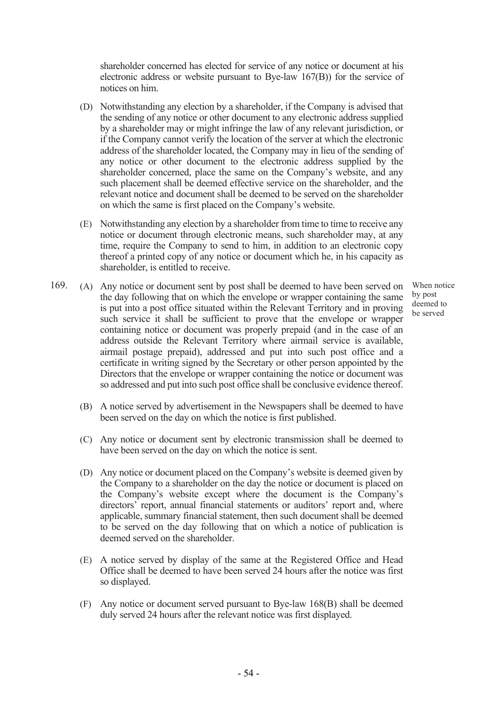shareholder concerned has elected for service of any notice or document at his electronic address or website pursuant to Bye-law 167(B)) for the service of notices on him.

- (D) Notwithstanding any election by a shareholder, if the Company is advised that the sending of any notice or other document to any electronic address supplied by a shareholder may or might infringe the law of any relevant jurisdiction, or if the Company cannot verify the location of the server at which the electronic address of the shareholder located, the Company may in lieu of the sending of any notice or other document to the electronic address supplied by the shareholder concerned, place the same on the Company's website, and any such placement shall be deemed effective service on the shareholder, and the relevant notice and document shall be deemed to be served on the shareholder on which the same is first placed on the Company's website.
- (E) Notwithstanding any election by a shareholder from time to time to receive any notice or document through electronic means, such shareholder may, at any time, require the Company to send to him, in addition to an electronic copy thereof a printed copy of any notice or document which he, in his capacity as shareholder, is entitled to receive.
- 169. (A) Any notice or document sent by post shall be deemed to have been served on the day following that on which the envelope or wrapper containing the same is put into a post office situated within the Relevant Territory and in proving such service it shall be sufficient to prove that the envelope or wrapper containing notice or document was properly prepaid (and in the case of an address outside the Relevant Territory where airmail service is available, airmail postage prepaid), addressed and put into such post office and a certificate in writing signed by the Secretary or other person appointed by the Directors that the envelope or wrapper containing the notice or document was so addressed and put into such post office shall be conclusive evidence thereof.
	- (B) A notice served by advertisement in the Newspapers shall be deemed to have been served on the day on which the notice is first published.
	- (C) Any notice or document sent by electronic transmission shall be deemed to have been served on the day on which the notice is sent.
	- (D) Any notice or document placed on the Company's website is deemed given by the Company to a shareholder on the day the notice or document is placed on the Company's website except where the document is the Company's directors' report, annual financial statements or auditors' report and, where applicable, summary financial statement, then such document shall be deemed to be served on the day following that on which a notice of publication is deemed served on the shareholder.
	- (E) A notice served by display of the same at the Registered Office and Head Office shall be deemed to have been served 24 hours after the notice was first so displayed.
	- (F) Any notice or document served pursuant to Bye-law 168(B) shall be deemed duly served 24 hours after the relevant notice was first displayed.

When notice by post deemed to be served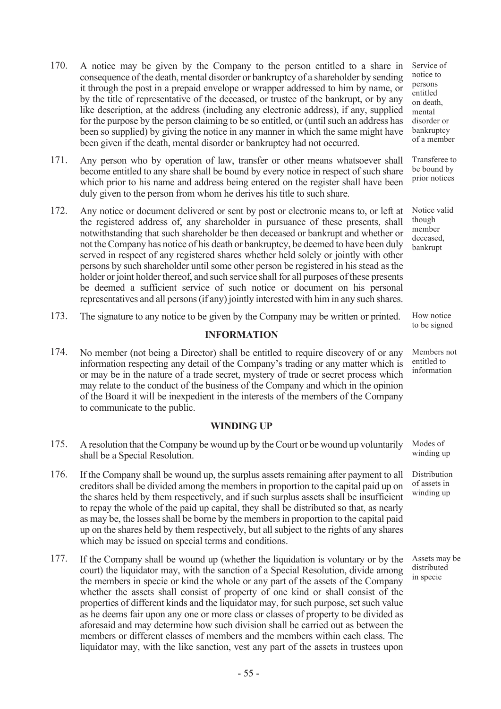- 170. A notice may be given by the Company to the person entitled to a share in consequence of the death, mental disorder or bankruptcy of a shareholder by sending it through the post in a prepaid envelope or wrapper addressed to him by name, or by the title of representative of the deceased, or trustee of the bankrupt, or by any like description, at the address (including any electronic address), if any, supplied for the purpose by the person claiming to be so entitled, or (until such an address has been so supplied) by giving the notice in any manner in which the same might have been given if the death, mental disorder or bankruptcy had not occurred.
- 171. Any person who by operation of law, transfer or other means whatsoever shall become entitled to any share shall be bound by every notice in respect of such share which prior to his name and address being entered on the register shall have been duly given to the person from whom he derives his title to such share.
- 172. Any notice or document delivered or sent by post or electronic means to, or left at the registered address of, any shareholder in pursuance of these presents, shall notwithstanding that such shareholder be then deceased or bankrupt and whether or not the Company has notice of his death or bankruptcy, be deemed to have been duly served in respect of any registered shares whether held solely or jointly with other persons by such shareholder until some other person be registered in his stead as the holder or joint holder thereof, and such service shall for all purposes of these presents be deemed a sufficient service of such notice or document on his personal representatives and all persons (if any) jointly interested with him in any such shares.
- 173. The signature to any notice to be given by the Company may be written or printed. How notice

## INFORMATION

174. No member (not being a Director) shall be entitled to require discovery of or any information respecting any detail of the Company's trading or any matter which is or may be in the nature of a trade secret, mystery of trade or secret process which may relate to the conduct of the business of the Company and which in the opinion of the Board it will be inexpedient in the interests of the members of the Company to communicate to the public.

## WINDING UP

- 175. A resolution that the Company be wound up by the Court or be wound up voluntarily shall be a Special Resolution.
- 176. If the Company shall be wound up, the surplus assets remaining after payment to all creditors shall be divided among the members in proportion to the capital paid up on the shares held by them respectively, and if such surplus assets shall be insufficient to repay the whole of the paid up capital, they shall be distributed so that, as nearly as may be, the losses shall be borne by the members in proportion to the capital paid up on the shares held by them respectively, but all subject to the rights of any shares which may be issued on special terms and conditions.
- 177. If the Company shall be wound up (whether the liquidation is voluntary or by the court) the liquidator may, with the sanction of a Special Resolution, divide among the members in specie or kind the whole or any part of the assets of the Company whether the assets shall consist of property of one kind or shall consist of the properties of different kinds and the liquidator may, for such purpose, set such value as he deems fair upon any one or more class or classes of property to be divided as aforesaid and may determine how such division shall be carried out as between the members or different classes of members and the members within each class. The liquidator may, with the like sanction, vest any part of the assets in trustees upon

Service of notice to persons entitled on death, mental disorder or bankruptcy of a member

Transferee to be bound by prior notices

Notice valid though member deceased, bankrupt

to be signed

Members not entitled to information

Modes of winding up

Distribution of assets in winding up

Assets may be distributed in specie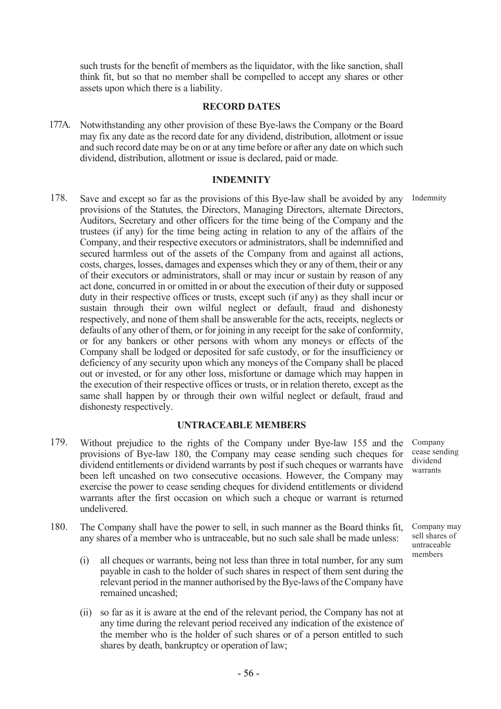such trusts for the benefit of members as the liquidator, with the like sanction, shall think fit, but so that no member shall be compelled to accept any shares or other assets upon which there is a liability.

#### RECORD DATES

177A. Notwithstanding any other provision of these Bye-laws the Company or the Board may fix any date as the record date for any dividend, distribution, allotment or issue and such record date may be on or at any time before or after any date on which such dividend, distribution, allotment or issue is declared, paid or made.

#### **INDEMNITY**

178. Save and except so far as the provisions of this Bye-law shall be avoided by any provisions of the Statutes, the Directors, Managing Directors, alternate Directors, Auditors, Secretary and other officers for the time being of the Company and the trustees (if any) for the time being acting in relation to any of the affairs of the Company, and their respective executors or administrators, shall be indemnified and secured harmless out of the assets of the Company from and against all actions, costs, charges, losses, damages and expenses which they or any of them, their or any of their executors or administrators, shall or may incur or sustain by reason of any act done, concurred in or omitted in or about the execution of their duty or supposed duty in their respective offices or trusts, except such (if any) as they shall incur or sustain through their own wilful neglect or default, fraud and dishonesty respectively, and none of them shall be answerable for the acts, receipts, neglects or defaults of any other of them, or for joining in any receipt for the sake of conformity, or for any bankers or other persons with whom any moneys or effects of the Company shall be lodged or deposited for safe custody, or for the insufficiency or deficiency of any security upon which any moneys of the Company shall be placed out or invested, or for any other loss, misfortune or damage which may happen in the execution of their respective offices or trusts, or in relation thereto, except as the same shall happen by or through their own wilful neglect or default, fraud and dishonesty respectively. Indemnity

#### UNTRACEABLE MEMBERS

- 179. Without prejudice to the rights of the Company under Bye-law 155 and the provisions of Bye-law 180, the Company may cease sending such cheques for dividend entitlements or dividend warrants by post if such cheques or warrants have been left uncashed on two consecutive occasions. However, the Company may exercise the power to cease sending cheques for dividend entitlements or dividend warrants after the first occasion on which such a cheque or warrant is returned undelivered.
- 180. The Company shall have the power to sell, in such manner as the Board thinks fit, any shares of a member who is untraceable, but no such sale shall be made unless:
	- (i) all cheques or warrants, being not less than three in total number, for any sum payable in cash to the holder of such shares in respect of them sent during the relevant period in the manner authorised by the Bye-laws of the Company have remained uncashed;
	- (ii) so far as it is aware at the end of the relevant period, the Company has not at any time during the relevant period received any indication of the existence of the member who is the holder of such shares or of a person entitled to such shares by death, bankruptcy or operation of law;

Company cease sending dividend warrants

Company may sell shares of untraceable members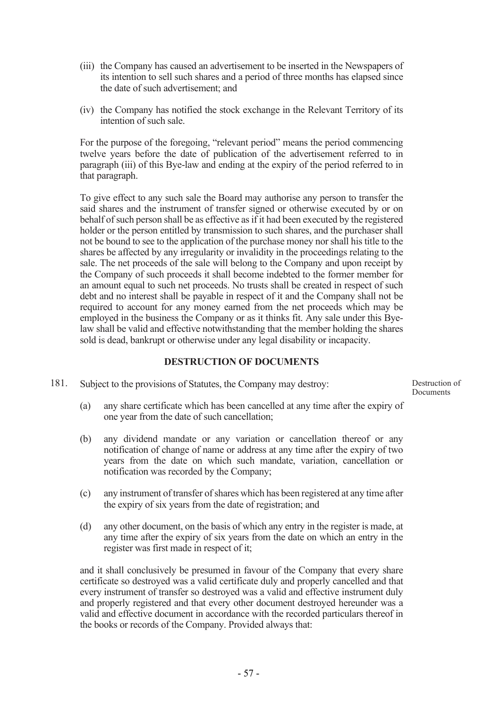- (iii) the Company has caused an advertisement to be inserted in the Newspapers of its intention to sell such shares and a period of three months has elapsed since the date of such advertisement; and
- (iv) the Company has notified the stock exchange in the Relevant Territory of its intention of such sale.

For the purpose of the foregoing, "relevant period" means the period commencing twelve years before the date of publication of the advertisement referred to in paragraph (iii) of this Bye-law and ending at the expiry of the period referred to in that paragraph.

To give effect to any such sale the Board may authorise any person to transfer the said shares and the instrument of transfer signed or otherwise executed by or on behalf of such person shall be as effective as if it had been executed by the registered holder or the person entitled by transmission to such shares, and the purchaser shall not be bound to see to the application of the purchase money nor shall his title to the shares be affected by any irregularity or invalidity in the proceedings relating to the sale. The net proceeds of the sale will belong to the Company and upon receipt by the Company of such proceeds it shall become indebted to the former member for an amount equal to such net proceeds. No trusts shall be created in respect of such debt and no interest shall be payable in respect of it and the Company shall not be required to account for any money earned from the net proceeds which may be employed in the business the Company or as it thinks fit. Any sale under this Byelaw shall be valid and effective notwithstanding that the member holding the shares sold is dead, bankrupt or otherwise under any legal disability or incapacity.

## DESTRUCTION OF DOCUMENTS

181. Subject to the provisions of Statutes, the Company may destroy:

Destruction of Documents

- (a) any share certificate which has been cancelled at any time after the expiry of one year from the date of such cancellation;
- (b) any dividend mandate or any variation or cancellation thereof or any notification of change of name or address at any time after the expiry of two years from the date on which such mandate, variation, cancellation or notification was recorded by the Company;
- (c) any instrument of transfer of shares which has been registered at any time after the expiry of six years from the date of registration; and
- (d) any other document, on the basis of which any entry in the register is made, at any time after the expiry of six years from the date on which an entry in the register was first made in respect of it;

and it shall conclusively be presumed in favour of the Company that every share certificate so destroyed was a valid certificate duly and properly cancelled and that every instrument of transfer so destroyed was a valid and effective instrument duly and properly registered and that every other document destroyed hereunder was a valid and effective document in accordance with the recorded particulars thereof in the books or records of the Company. Provided always that: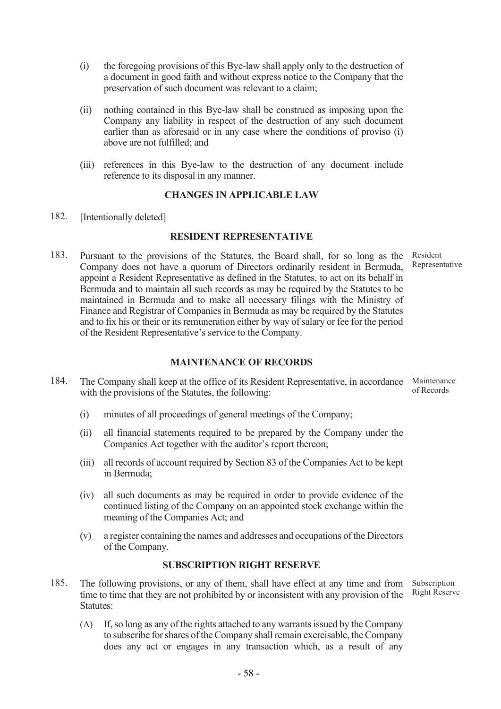- (i) the foregoing provisions of this Bye-law shall apply only to the destruction of a document in good faith and without express notice to the Company that the preservation of such document was relevant to a claim;
- (ii) nothing contained in this Bye-law shall be construed as imposing upon the Company any liability in respect of the destruction of any such document earlier than as aforesaid or in any case where the conditions of proviso (i) above are not fulfilled; and
- (iii) references in this Bye-law to the destruction of any document include reference to its disposal in any manner.

## CHANGES IN APPLICABLE LAW

182. [Intentionally deleted]

## RESIDENT REPRESENTATIVE

183. Pursuant to the provisions of the Statutes, the Board shall, for so long as the Company does not have a quorum of Directors ordinarily resident in Bermuda, appoint a Resident Representative as defined in the Statutes, to act on its behalf in Bermuda and to maintain all such records as may be required by the Statutes to be maintained in Bermuda and to make all necessary filings with the Ministry of Finance and Registrar of Companies in Bermuda as may be required by the Statutes and to fix his or their or its remuneration either by way of salary or fee for the period of the Resident Representative's service to the Company.

## MAINTENANCE OF RECORDS

- 184. The Company shall keep at the office of its Resident Representative, in accordance with the provisions of the Statutes, the following: Maintenance of Records
	- (i) minutes of all proceedings of general meetings of the Company;
	- (ii) all financial statements required to be prepared by the Company under the Companies Act together with the auditor's report thereon;
	- (iii) all records of account required by Section 83 of the Companies Act to be kept in Bermuda;
	- (iv) all such documents as may be required in order to provide evidence of the continued listing of the Company on an appointed stock exchange within the meaning of the Companies Act; and
	- (v) a register containing the names and addresses and occupations of the Directors of the Company.

#### SUBSCRIPTION RIGHT RESERVE

- 185. The following provisions, or any of them, shall have effect at any time and from time to time that they are not prohibited by or inconsistent with any provision of the Statutes:
	- (A) If, so long as any of the rights attached to any warrants issued by the Company to subscribe for shares of the Company shall remain exercisable, the Company does any act or engages in any transaction which, as a result of any

- 58 -

Resident Representative

Subscription Right Reserve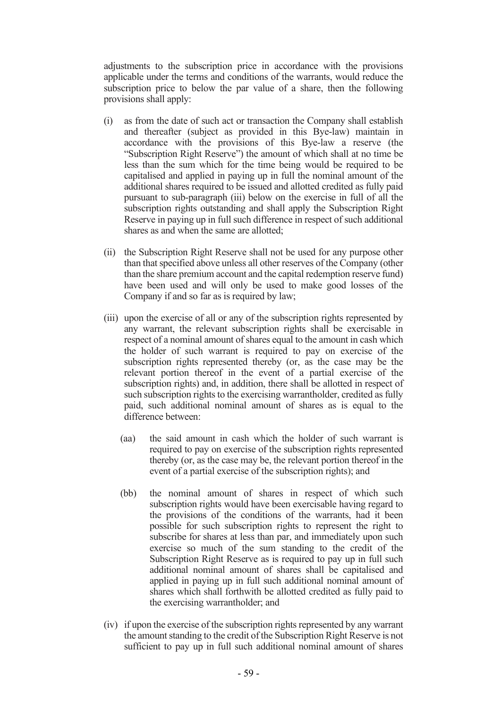adjustments to the subscription price in accordance with the provisions applicable under the terms and conditions of the warrants, would reduce the subscription price to below the par value of a share, then the following provisions shall apply:

- (i) as from the date of such act or transaction the Company shall establish and thereafter (subject as provided in this Bye-law) maintain in accordance with the provisions of this Bye-law a reserve (the "Subscription Right Reserve") the amount of which shall at no time be less than the sum which for the time being would be required to be capitalised and applied in paying up in full the nominal amount of the additional shares required to be issued and allotted credited as fully paid pursuant to sub-paragraph (iii) below on the exercise in full of all the subscription rights outstanding and shall apply the Subscription Right Reserve in paying up in full such difference in respect of such additional shares as and when the same are allotted;
- (ii) the Subscription Right Reserve shall not be used for any purpose other than that specified above unless all other reserves of the Company (other than the share premium account and the capital redemption reserve fund) have been used and will only be used to make good losses of the Company if and so far as is required by law;
- (iii) upon the exercise of all or any of the subscription rights represented by any warrant, the relevant subscription rights shall be exercisable in respect of a nominal amount of shares equal to the amount in cash which the holder of such warrant is required to pay on exercise of the subscription rights represented thereby (or, as the case may be the relevant portion thereof in the event of a partial exercise of the subscription rights) and, in addition, there shall be allotted in respect of such subscription rights to the exercising warrantholder, credited as fully paid, such additional nominal amount of shares as is equal to the difference between:
	- (aa) the said amount in cash which the holder of such warrant is required to pay on exercise of the subscription rights represented thereby (or, as the case may be, the relevant portion thereof in the event of a partial exercise of the subscription rights); and
	- (bb) the nominal amount of shares in respect of which such subscription rights would have been exercisable having regard to the provisions of the conditions of the warrants, had it been possible for such subscription rights to represent the right to subscribe for shares at less than par, and immediately upon such exercise so much of the sum standing to the credit of the Subscription Right Reserve as is required to pay up in full such additional nominal amount of shares shall be capitalised and applied in paying up in full such additional nominal amount of shares which shall forthwith be allotted credited as fully paid to the exercising warrantholder; and
- (iv) if upon the exercise of the subscription rights represented by any warrant the amount standing to the credit of the Subscription Right Reserve is not sufficient to pay up in full such additional nominal amount of shares